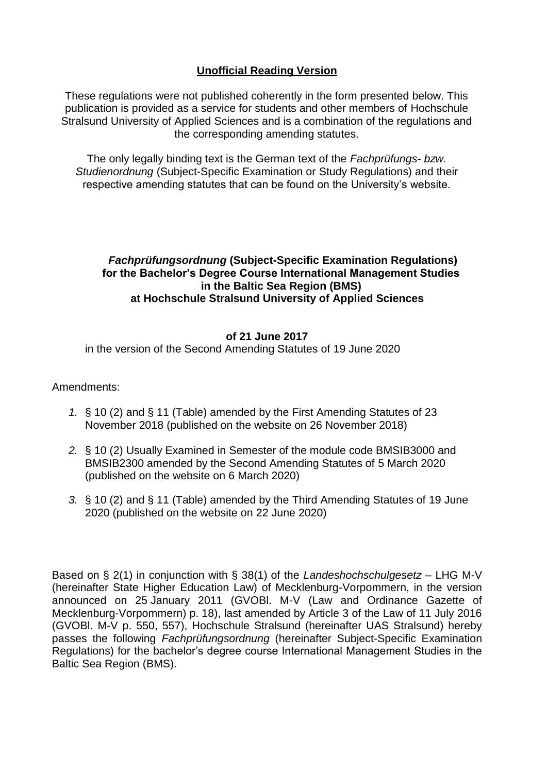# **Unofficial Reading Version**

These regulations were not published coherently in the form presented below. This publication is provided as a service for students and other members of Hochschule Stralsund University of Applied Sciences and is a combination of the regulations and the corresponding amending statutes.

The only legally binding text is the German text of the *Fachprüfungs- bzw. Studienordnung* (Subject-Specific Examination or Study Regulations) and their respective amending statutes that can be found on the University's website.

## *Fachprüfungsordnung* **(Subject-Specific Examination Regulations) for the Bachelor's Degree Course International Management Studies in the Baltic Sea Region (BMS) at Hochschule Stralsund University of Applied Sciences**

## **of 21 June 2017**

in the version of the Second Amending Statutes of 19 June 2020

## Amendments:

- *1.* § 10 (2) and § 11 (Table) amended by the First Amending Statutes of 23 November 2018 (published on the website on 26 November 2018)
- *2.* § 10 (2) Usually Examined in Semester of the module code BMSIB3000 and BMSIB2300 amended by the Second Amending Statutes of 5 March 2020 (published on the website on 6 March 2020)
- *3.* § 10 (2) and § 11 (Table) amended by the Third Amending Statutes of 19 June 2020 (published on the website on 22 June 2020)

Based on § 2(1) in conjunction with § 38(1) of the *Landeshochschulgesetz –* LHG M-V (hereinafter State Higher Education Law) of Mecklenburg-Vorpommern, in the version announced on 25 January 2011 (GVOBl. M-V (Law and Ordinance Gazette of Mecklenburg-Vorpommern) p. 18), last amended by Article 3 of the Law of 11 July 2016 (GVOBl. M-V p. 550, 557), Hochschule Stralsund (hereinafter UAS Stralsund) hereby passes the following *Fachprüfungsordnung* (hereinafter Subject-Specific Examination Regulations) for the bachelor's degree course International Management Studies in the Baltic Sea Region (BMS).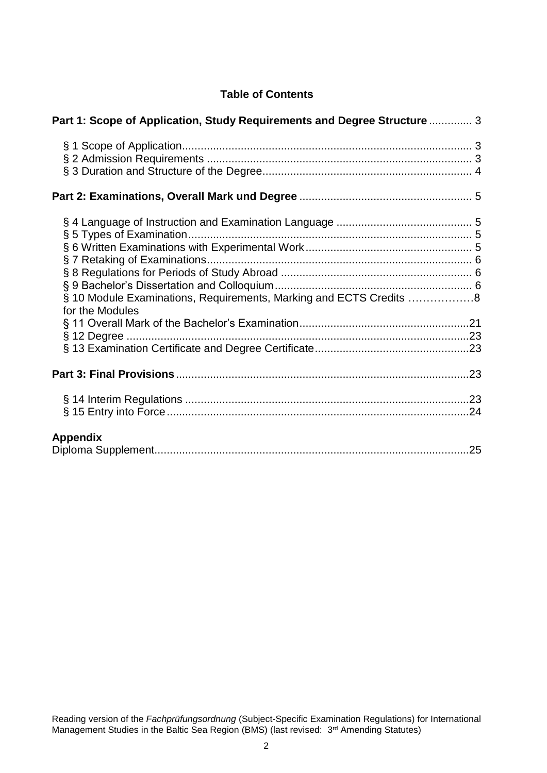## **Table of Contents**

| Part 1: Scope of Application, Study Requirements and Degree Structure  3              |  |
|---------------------------------------------------------------------------------------|--|
|                                                                                       |  |
|                                                                                       |  |
| § 10 Module Examinations, Requirements, Marking and ECTS Credits 8<br>for the Modules |  |
|                                                                                       |  |
|                                                                                       |  |
|                                                                                       |  |
|                                                                                       |  |
| <b>Appendix</b>                                                                       |  |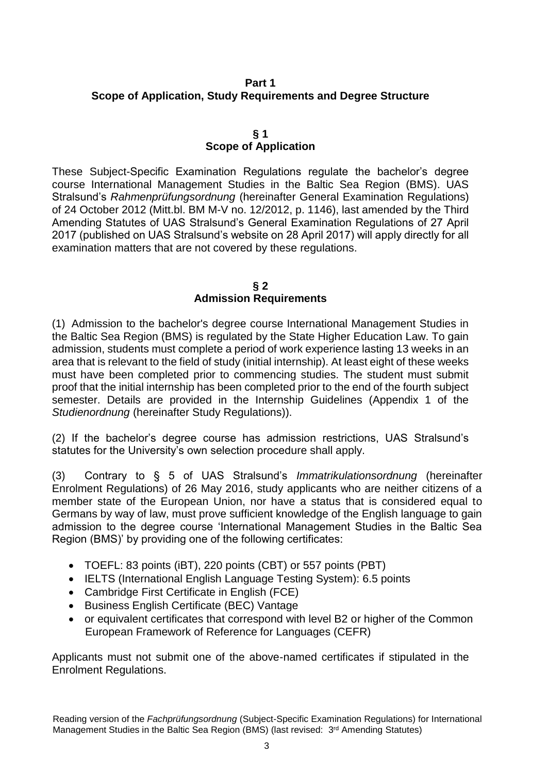## <span id="page-2-0"></span>**Part 1 Scope of Application, Study Requirements and Degree Structure**

## **§ 1 Scope of Application**

<span id="page-2-1"></span>These Subject-Specific Examination Regulations regulate the bachelor's degree course International Management Studies in the Baltic Sea Region (BMS). UAS Stralsund's *Rahmenprüfungsordnung* (hereinafter General Examination Regulations) of 24 October 2012 (Mitt.bl. BM M-V no. 12/2012, p. 1146), last amended by the Third Amending Statutes of UAS Stralsund's General Examination Regulations of 27 April 2017 (published on UAS Stralsund's website on 28 April 2017) will apply directly for all examination matters that are not covered by these regulations.

## **§ 2 Admission Requirements**

<span id="page-2-2"></span>(1) Admission to the bachelor's degree course International Management Studies in the Baltic Sea Region (BMS) is regulated by the State Higher Education Law. To gain admission, students must complete a period of work experience lasting 13 weeks in an area that is relevant to the field of study (initial internship). At least eight of these weeks must have been completed prior to commencing studies. The student must submit proof that the initial internship has been completed prior to the end of the fourth subject semester. Details are provided in the Internship Guidelines (Appendix 1 of the *Studienordnung* (hereinafter Study Regulations)).

(2) If the bachelor's degree course has admission restrictions, UAS Stralsund's statutes for the University's own selection procedure shall apply.

(3) Contrary to § 5 of UAS Stralsund's *Immatrikulationsordnung* (hereinafter Enrolment Regulations) of 26 May 2016, study applicants who are neither citizens of a member state of the European Union, nor have a status that is considered equal to Germans by way of law, must prove sufficient knowledge of the English language to gain admission to the degree course 'International Management Studies in the Baltic Sea Region (BMS)' by providing one of the following certificates:

- TOEFL: 83 points (iBT), 220 points (CBT) or 557 points (PBT)
- IELTS (International English Language Testing System): 6.5 points
- Cambridge First Certificate in English (FCE)
- Business English Certificate (BEC) Vantage
- or equivalent certificates that correspond with level B2 or higher of the Common European Framework of Reference for Languages (CEFR)

Applicants must not submit one of the above-named certificates if stipulated in the Enrolment Regulations.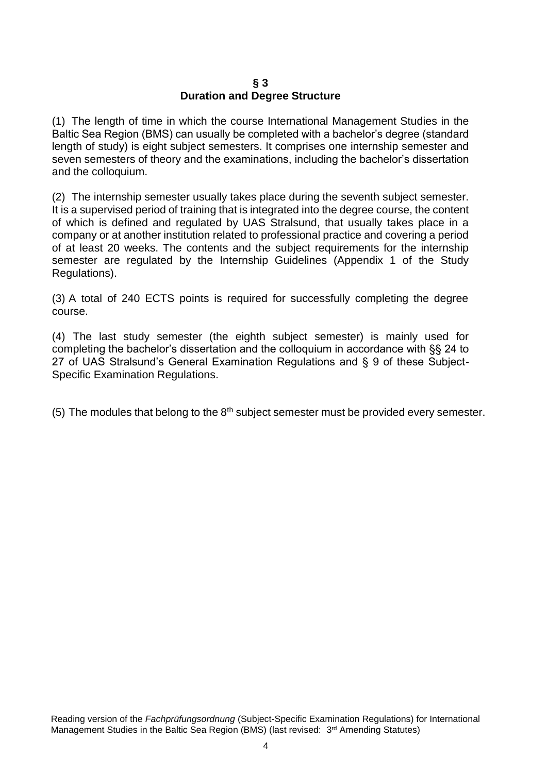## **§ 3 Duration and Degree Structure**

<span id="page-3-0"></span>(1) The length of time in which the course International Management Studies in the Baltic Sea Region (BMS) can usually be completed with a bachelor's degree (standard length of study) is eight subject semesters. It comprises one internship semester and seven semesters of theory and the examinations, including the bachelor's dissertation and the colloquium.

(2) The internship semester usually takes place during the seventh subject semester. It is a supervised period of training that is integrated into the degree course, the content of which is defined and regulated by UAS Stralsund, that usually takes place in a company or at another institution related to professional practice and covering a period of at least 20 weeks. The contents and the subject requirements for the internship semester are regulated by the Internship Guidelines (Appendix 1 of the Study Regulations).

(3) A total of 240 ECTS points is required for successfully completing the degree course.

(4) The last study semester (the eighth subject semester) is mainly used for completing the bachelor's dissertation and the colloquium in accordance with §§ 24 to 27 of UAS Stralsund's General Examination Regulations and § 9 of these Subject-Specific Examination Regulations.

(5) The modules that belong to the  $8<sup>th</sup>$  subject semester must be provided every semester.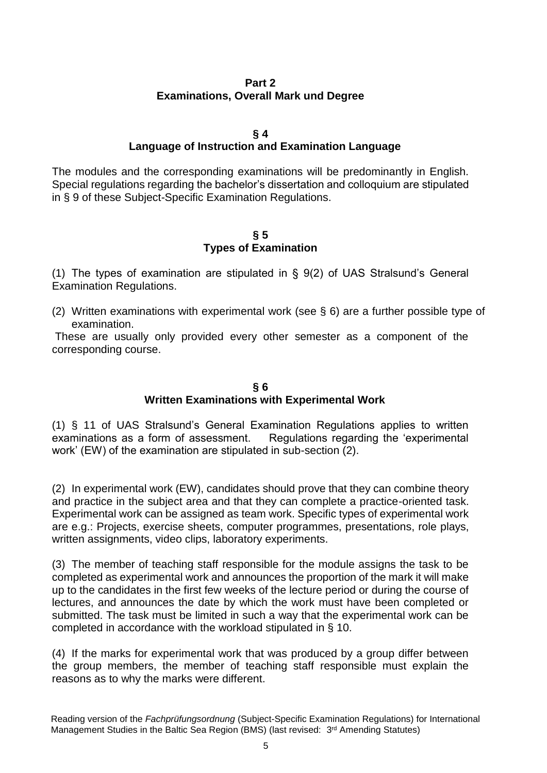## **Part 2 Examinations, Overall Mark und Degree**

## **§ 4**

# **Language of Instruction and Examination Language**

<span id="page-4-1"></span><span id="page-4-0"></span>The modules and the corresponding examinations will be predominantly in English. Special regulations regarding the bachelor's dissertation and colloquium are stipulated in § 9 of these Subject-Specific Examination Regulations.

## **§ 5 Types of Examination**

<span id="page-4-2"></span>(1) The types of examination are stipulated in § 9(2) of UAS Stralsund's General Examination Regulations.

(2) Written examinations with experimental work (see § 6) are a further possible type of examination.

These are usually only provided every other semester as a component of the corresponding course.

## **§ 6 Written Examinations with Experimental Work**

<span id="page-4-3"></span>(1) § 11 of UAS Stralsund's General Examination Regulations applies to written examinations as a form of assessment. Regulations regarding the 'experimental work' (EW) of the examination are stipulated in sub-section (2).

(2) In experimental work (EW), candidates should prove that they can combine theory and practice in the subject area and that they can complete a practice-oriented task. Experimental work can be assigned as team work. Specific types of experimental work are e.g.: Projects, exercise sheets, computer programmes, presentations, role plays, written assignments, video clips, laboratory experiments.

(3) The member of teaching staff responsible for the module assigns the task to be completed as experimental work and announces the proportion of the mark it will make up to the candidates in the first few weeks of the lecture period or during the course of lectures, and announces the date by which the work must have been completed or submitted. The task must be limited in such a way that the experimental work can be completed in accordance with the workload stipulated in § 10.

(4) If the marks for experimental work that was produced by a group differ between the group members, the member of teaching staff responsible must explain the reasons as to why the marks were different.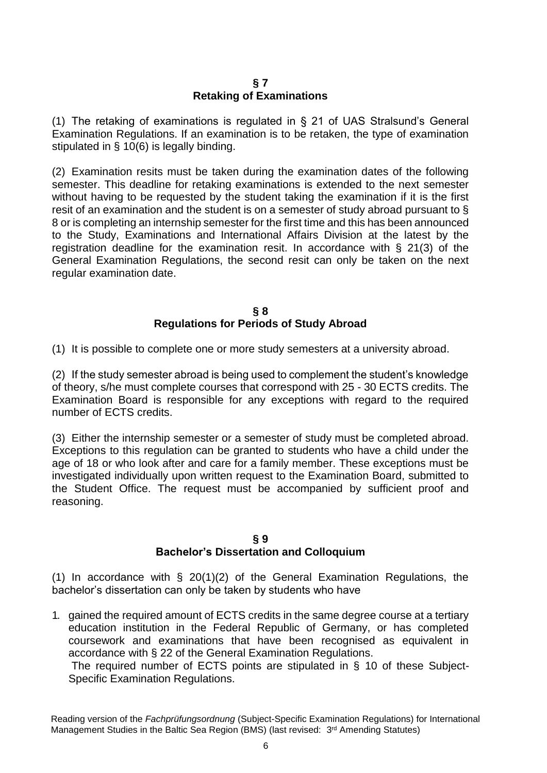## **§ 7 Retaking of Examinations**

<span id="page-5-0"></span>(1) The retaking of examinations is regulated in § 21 of UAS Stralsund's General Examination Regulations. If an examination is to be retaken, the type of examination stipulated in § 10(6) is legally binding.

(2) Examination resits must be taken during the examination dates of the following semester. This deadline for retaking examinations is extended to the next semester without having to be requested by the student taking the examination if it is the first resit of an examination and the student is on a semester of study abroad pursuant to § 8 or is completing an internship semester for the first time and this has been announced to the Study, Examinations and International Affairs Division at the latest by the registration deadline for the examination resit. In accordance with § 21(3) of the General Examination Regulations, the second resit can only be taken on the next regular examination date.

## **§ 8 Regulations for Periods of Study Abroad**

<span id="page-5-1"></span>(1) It is possible to complete one or more study semesters at a university abroad.

(2) If the study semester abroad is being used to complement the student's knowledge of theory, s/he must complete courses that correspond with 25 - 30 ECTS credits. The Examination Board is responsible for any exceptions with regard to the required number of ECTS credits.

(3) Either the internship semester or a semester of study must be completed abroad. Exceptions to this regulation can be granted to students who have a child under the age of 18 or who look after and care for a family member. These exceptions must be investigated individually upon written request to the Examination Board, submitted to the Student Office. The request must be accompanied by sufficient proof and reasoning.

## **§ 9**

## **Bachelor's Dissertation and Colloquium**

<span id="page-5-2"></span>(1) In accordance with § 20(1)(2) of the General Examination Regulations, the bachelor's dissertation can only be taken by students who have

1. gained the required amount of ECTS credits in the same degree course at a tertiary education institution in the Federal Republic of Germany, or has completed coursework and examinations that have been recognised as equivalent in accordance with § 22 of the General Examination Regulations.

The required number of ECTS points are stipulated in § 10 of these Subject-Specific Examination Regulations.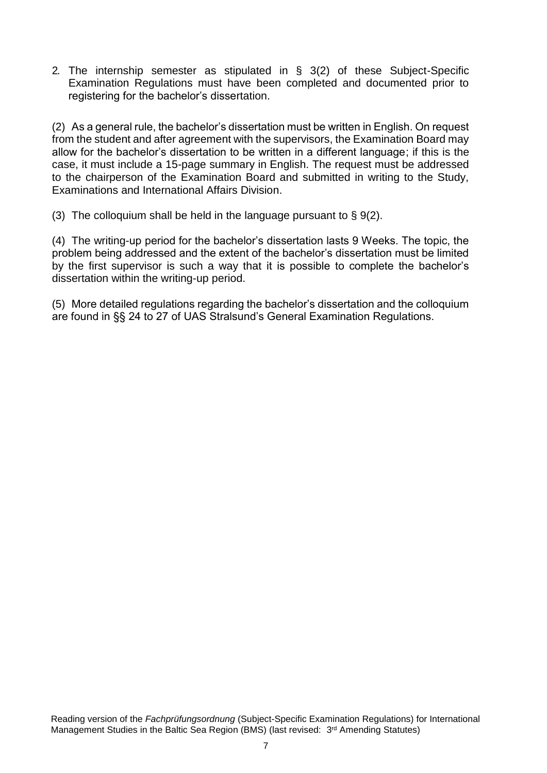2. The internship semester as stipulated in § 3(2) of these Subject-Specific Examination Regulations must have been completed and documented prior to registering for the bachelor's dissertation.

(2) As a general rule, the bachelor's dissertation must be written in English. On request from the student and after agreement with the supervisors, the Examination Board may allow for the bachelor's dissertation to be written in a different language; if this is the case, it must include a 15-page summary in English. The request must be addressed to the chairperson of the Examination Board and submitted in writing to the Study, Examinations and International Affairs Division.

(3) The colloquium shall be held in the language pursuant to  $\S 9(2)$ .

(4) The writing-up period for the bachelor's dissertation lasts 9 Weeks. The topic, the problem being addressed and the extent of the bachelor's dissertation must be limited by the first supervisor is such a way that it is possible to complete the bachelor's dissertation within the writing-up period.

(5) More detailed regulations regarding the bachelor's dissertation and the colloquium are found in §§ 24 to 27 of UAS Stralsund's General Examination Regulations.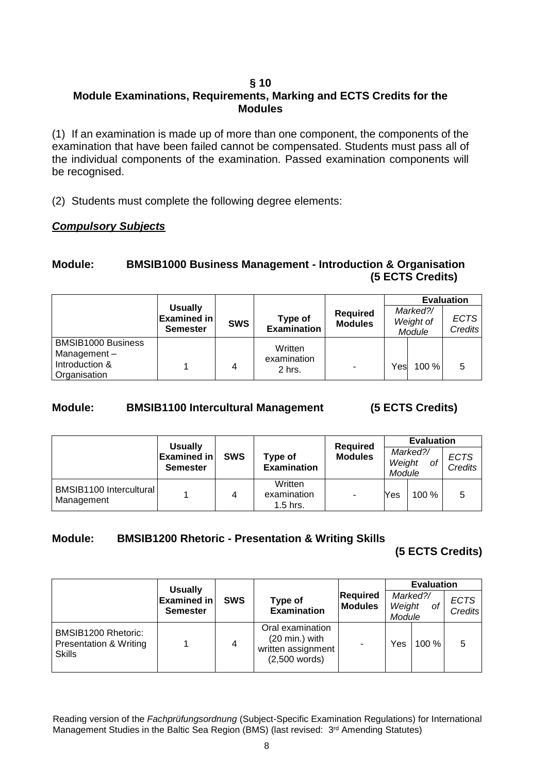## **§ 10**

# <span id="page-7-0"></span>**Module Examinations, Requirements, Marking and ECTS Credits for the Modules**

(1) If an examination is made up of more than one component, the components of the examination that have been failed cannot be compensated. Students must pass all of the individual components of the examination. Passed examination components will be recognised.

(2) Students must complete the following degree elements:

## *Compulsory Subjects*

## **Module: BMSIB1000 Business Management - Introduction & Organisation (5 ECTS Credits)**

|                                                                            |                                                         |            |                                  |                                   |      | <b>Evaluation</b>               |                        |
|----------------------------------------------------------------------------|---------------------------------------------------------|------------|----------------------------------|-----------------------------------|------|---------------------------------|------------------------|
|                                                                            | <b>Usually</b><br><b>Examined in</b><br><b>Semester</b> | <b>SWS</b> | Type of<br><b>Examination</b>    | <b>Required</b><br><b>Modules</b> |      | Marked?/<br>Weight of<br>Module | <b>ECTS</b><br>Credits |
| <b>BMSIB1000 Business</b><br>Management-<br>Introduction &<br>Organisation |                                                         | 4          | Written<br>examination<br>2 hrs. | ٠                                 | Yesl | $100 \%$                        | 5                      |

# **Module: BMSIB1100 Intercultural Management (5 ECTS Credits)**

|                                       | <b>Usually</b>                        |            |                                      | <b>Required</b> |                  | <b>Evaluation</b> |                        |
|---------------------------------------|---------------------------------------|------------|--------------------------------------|-----------------|------------------|-------------------|------------------------|
|                                       | <b>Examined in</b><br><b>Semester</b> | <b>SWS</b> | Type of<br><b>Examination</b>        | <b>Modules</b>  | Weight<br>Module | Marked?/<br>оf    | <b>ECTS</b><br>Credits |
| BMSIB1100 Intercultural<br>Management |                                       | 4          | Written<br>examination<br>$1.5$ hrs. | -               | Yes              | 100%              | 5                      |

# **Module: BMSIB1200 Rhetoric - Presentation & Writing Skills**

**(5 ECTS Credits)** 

|                                                                | <b>Usually</b>                        |            |                                                                                       |                                   | <b>Evaluation</b>                  |       |                        |
|----------------------------------------------------------------|---------------------------------------|------------|---------------------------------------------------------------------------------------|-----------------------------------|------------------------------------|-------|------------------------|
|                                                                | <b>Examined in</b><br><b>Semester</b> | <b>SWS</b> | Type of<br><b>Examination</b>                                                         | <b>Required</b><br><b>Modules</b> | Marked?/<br>Weight<br>0f<br>Module |       | <b>ECTS</b><br>Credits |
| BMSIB1200 Rhetoric:<br>Presentation & Writing<br><b>Skills</b> |                                       | 4          | Oral examination<br>$(20 \text{ min.})$ with<br>written assignment<br>$(2,500$ words) |                                   | Yes                                | 100 % | 5                      |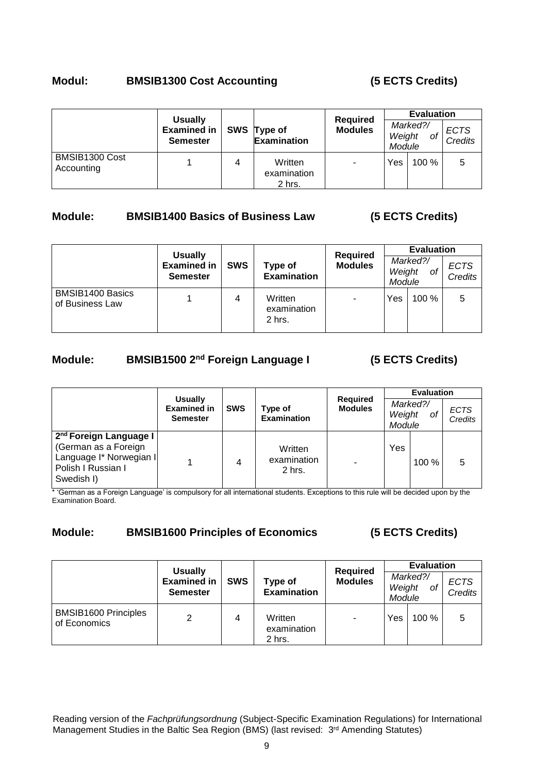## **Modul: BMSIB1300 Cost Accounting (5 ECTS Credits)**

| <b>Usually</b>               | <b>Required</b>                       | <b>Evaluation</b> |                                   |                |                  |                |                               |
|------------------------------|---------------------------------------|-------------------|-----------------------------------|----------------|------------------|----------------|-------------------------------|
|                              | <b>Examined in</b><br><b>Semester</b> |                   | SWS Type of<br><b>Examination</b> | <b>Modules</b> | Weight<br>Module | Marked?/<br>οf | <b>ECTS</b><br><b>Credits</b> |
| BMSIB1300 Cost<br>Accounting |                                       | 4                 | Written<br>examination<br>2 hrs.  | ۰              | Yes              | 100%           |                               |

## **Module: BMSIB1400 Basics of Business Law (5 ECTS Credits)**

|                                     | <b>Usually</b>                        |            |                                  | <b>Required</b> |                  | <b>Evaluation</b> |                               |
|-------------------------------------|---------------------------------------|------------|----------------------------------|-----------------|------------------|-------------------|-------------------------------|
|                                     | <b>Examined in</b><br><b>Semester</b> | <b>SWS</b> | Type of<br><b>Examination</b>    | <b>Modules</b>  | Weight<br>Module | Marked?/<br>οf    | <b>ECTS</b><br><b>Credits</b> |
| BMSIB1400 Basics<br>of Business Law |                                       | 4          | Written<br>examination<br>2 hrs. | ۰               | Yes              | 100%              | 5                             |

# **Module: BMSIB1500 2nd Foreign Language I (5 ECTS Credits)**

|                                                                                                                           |                                                         |            |                                                                    |  |                  | <b>Evaluation</b> |                        |  |
|---------------------------------------------------------------------------------------------------------------------------|---------------------------------------------------------|------------|--------------------------------------------------------------------|--|------------------|-------------------|------------------------|--|
|                                                                                                                           | <b>Usually</b><br><b>Examined in</b><br><b>Semester</b> | <b>SWS</b> | <b>Required</b><br><b>Modules</b><br>Type of<br><b>Examination</b> |  | Weight<br>Module | Marked?/<br>οf    | <b>ECTS</b><br>Credits |  |
| 2 <sup>nd</sup> Foreign Language I<br>(German as a Foreign<br>Language I* Norwegian I<br>Polish I Russian I<br>Swedish I) |                                                         | 4          | Written<br>examination<br>2 hrs.                                   |  | Yes              | $100\%$           | 5                      |  |

\* 'German as a Foreign Language' is compulsory for all international students. Exceptions to this rule will be decided upon by the Examination Board.

# **Module: BMSIB1600 Principles of Economics (5 ECTS Credits)**

|                                             | <b>Required</b><br><b>Usually</b>     |            |                                  | <b>Evaluation</b> |                  |                |                        |
|---------------------------------------------|---------------------------------------|------------|----------------------------------|-------------------|------------------|----------------|------------------------|
|                                             | <b>Examined in</b><br><b>Semester</b> | <b>SWS</b> | Type of<br><b>Examination</b>    | <b>Modules</b>    | Weight<br>Module | Marked?/<br>оf | <b>ECTS</b><br>Credits |
| <b>BMSIB1600 Principles</b><br>of Economics | 2                                     | 4          | Written<br>examination<br>2 hrs. | ٠                 | Yes              | 100%           | 5                      |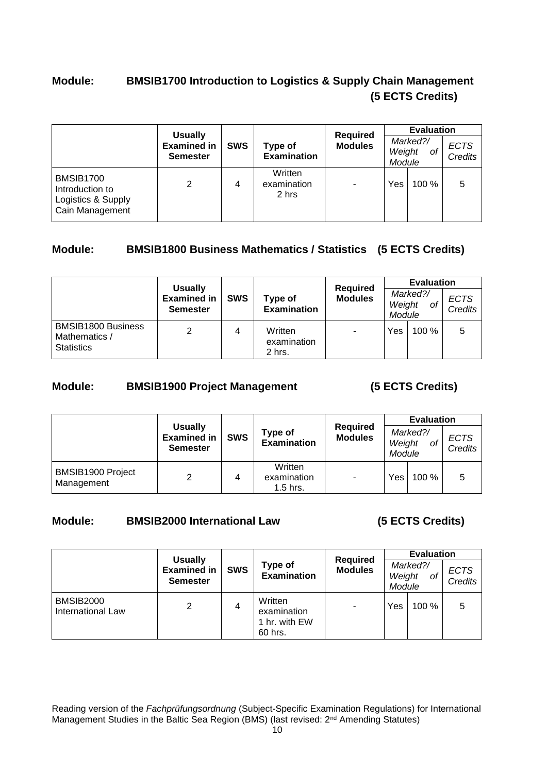# **Module: BMSIB1700 Introduction to Logistics & Supply Chain Management (5 ECTS Credits)**

|                                                                       | <b>Usually</b>                        |            |                                 | <b>Required</b> |                  | <b>Evaluation</b> |                               |
|-----------------------------------------------------------------------|---------------------------------------|------------|---------------------------------|-----------------|------------------|-------------------|-------------------------------|
|                                                                       | <b>Examined in</b><br><b>Semester</b> | <b>SWS</b> | Type of<br><b>Examination</b>   | <b>Modules</b>  | Weight<br>Module | Marked?/<br>οf    | <b>ECTS</b><br><b>Credits</b> |
| BMSIB1700<br>Introduction to<br>Logistics & Supply<br>Cain Management | $\overline{2}$                        | 4          | Written<br>examination<br>2 hrs | $\blacksquare$  | Yes              | 100 %             | 5                             |

# **Module: BMSIB1800 Business Mathematics / Statistics (5 ECTS Credits)**

|                                                                 | <b>Usually</b><br><b>Required</b>     |            |                                  | <b>Evaluation</b> |                  |                |                        |
|-----------------------------------------------------------------|---------------------------------------|------------|----------------------------------|-------------------|------------------|----------------|------------------------|
|                                                                 | <b>Examined in</b><br><b>Semester</b> | <b>SWS</b> | Type of<br><b>Examination</b>    | <b>Modules</b>    | Weight<br>Module | Marked?/<br>οf | <b>ECTS</b><br>Credits |
| <b>BMSIB1800 Business</b><br>Mathematics /<br><b>Statistics</b> | $\overline{2}$                        | 4          | Written<br>examination<br>2 hrs. | ٠                 | Yes              | $100 \%$       | 5                      |

## **Module: BMSIB1900 Project Management (5 ECTS Credits)**

|                                 | <b>Usually</b>                        |            |                                      |                                   | <b>Evaluation</b> |                                    |                        |  |
|---------------------------------|---------------------------------------|------------|--------------------------------------|-----------------------------------|-------------------|------------------------------------|------------------------|--|
|                                 | <b>Examined in</b><br><b>Semester</b> | <b>SWS</b> | Type of<br><b>Examination</b>        | <b>Required</b><br><b>Modules</b> |                   | Marked?/<br>Weight<br>of<br>Module | <b>ECTS</b><br>Credits |  |
| BMSIB1900 Project<br>Management | $\overline{2}$                        | 4          | Written<br>examination<br>$1.5$ hrs. | $\blacksquare$                    | Yes               | 100 %                              | 5                      |  |

# **Module: BMSIB2000 International Law (5 ECTS Credits)**

|                                       | <b>Usually</b>                        |            |                                                    | <b>Required</b> | <b>Evaluation</b> |                |                        |  |
|---------------------------------------|---------------------------------------|------------|----------------------------------------------------|-----------------|-------------------|----------------|------------------------|--|
|                                       | <b>Examined in</b><br><b>Semester</b> | <b>SWS</b> | Type of<br><b>Examination</b>                      | <b>Modules</b>  | Weight<br>Module  | Marked?/<br>of | <b>ECTS</b><br>Credits |  |
| <b>BMSIB2000</b><br>International Law | 2                                     | 4          | Written<br>examination<br>1 hr. with EW<br>60 hrs. | $\blacksquare$  | Yes               | 100%           | 5                      |  |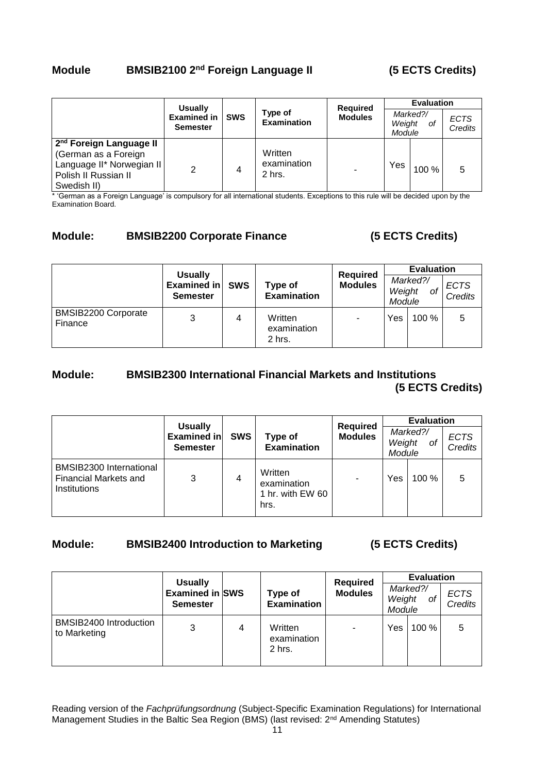# **Module BMSIB2100 2nd Foreign Language II (5 ECTS Credits)**

|                                                                                                                                 | <b>Usually</b>                        |            |                                  | <b>Required</b> | <b>Evaluation</b>                  |       |                        |
|---------------------------------------------------------------------------------------------------------------------------------|---------------------------------------|------------|----------------------------------|-----------------|------------------------------------|-------|------------------------|
|                                                                                                                                 | <b>Examined in</b><br><b>Semester</b> | <b>SWS</b> | Type of<br><b>Examination</b>    | <b>Modules</b>  | Marked?/<br>Weight<br>οf<br>Module |       | <b>ECTS</b><br>Credits |
| 2 <sup>nd</sup> Foreign Language II<br>(German as a Foreign<br>Language II* Norwegian II<br>Polish II Russian II<br>Swedish II) | 2                                     | 4          | Written<br>examination<br>2 hrs. | ۰               | Yes                                | 100 % | 5                      |

\* 'German as a Foreign Language' is compulsory for all international students. Exceptions to this rule will be decided upon by the Examination Board.

## **Module: BMSIB2200 Corporate Finance (5 ECTS Credits)**

|                                | <b>Usually</b>                 |            |                                  | <b>Required</b> | <b>Evaluation</b> |                |                               |  |
|--------------------------------|--------------------------------|------------|----------------------------------|-----------------|-------------------|----------------|-------------------------------|--|
|                                | Examined in<br><b>Semester</b> | <b>SWS</b> | Type of<br><b>Examination</b>    | <b>Modules</b>  | Weight<br>Module  | Marked?/<br>οt | <b>ECTS</b><br><b>Credits</b> |  |
| BMSIB2200 Corporate<br>Finance | 3                              | 4          | Written<br>examination<br>2 hrs. |                 | Yes               | 100%           | 5                             |  |

## **Module: BMSIB2300 International Financial Markets and Institutions (5 ECTS Credits)**

|                                                                         | <b>Usually</b>                        |            |                                                    | <b>Required</b> |                  | <b>Evaluation</b> |                        |
|-------------------------------------------------------------------------|---------------------------------------|------------|----------------------------------------------------|-----------------|------------------|-------------------|------------------------|
|                                                                         | <b>Examined in</b><br><b>Semester</b> | <b>SWS</b> | Type of<br><b>Examination</b>                      | <b>Modules</b>  | Weight<br>Module | Marked?/<br>οf    | <b>ECTS</b><br>Credits |
| BMSIB2300 International<br><b>Financial Markets and</b><br>Institutions | 3                                     | 4          | Written<br>examination<br>1 hr. with EW 60<br>hrs. |                 | Yes              | $100\%$           | 5                      |

## **Module: BMSIB2400 Introduction to Marketing (5 ECTS Credits)**

|                                        | <b>Usually</b>                            | <b>Required</b> | <b>Evaluation</b>                |                |                  |                |                               |
|----------------------------------------|-------------------------------------------|-----------------|----------------------------------|----------------|------------------|----------------|-------------------------------|
|                                        | <b>Examined in SWS</b><br><b>Semester</b> |                 | Type of<br><b>Examination</b>    | <b>Modules</b> | Weight<br>Module | Marked?/<br>οf | <b>ECTS</b><br><b>Credits</b> |
| BMSIB2400 Introduction<br>to Marketing | 3                                         | 4               | Written<br>examination<br>2 hrs. | ۰              | Yes              | 100 %          | 5                             |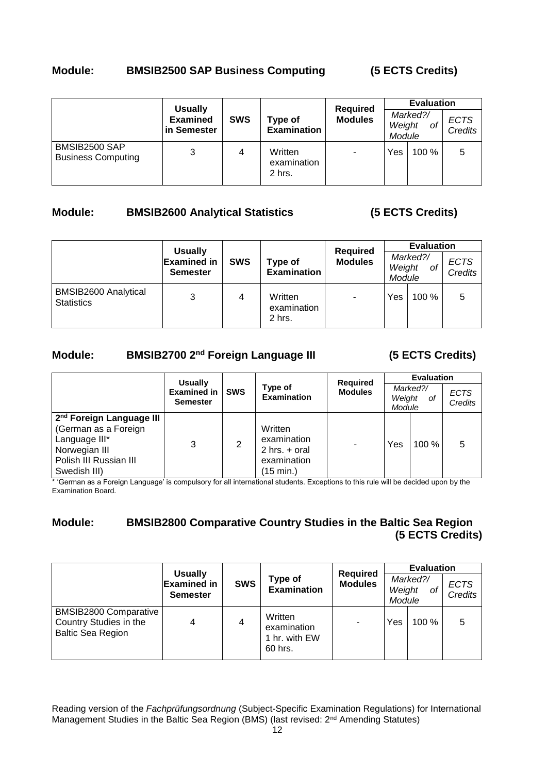## **Module: BMSIB2500 SAP Business Computing (5 ECTS Credits)**

|                                            |                                | <b>Required</b><br><b>Usually</b> |                                  | <b>Evaluation</b> |                  |                |                        |
|--------------------------------------------|--------------------------------|-----------------------------------|----------------------------------|-------------------|------------------|----------------|------------------------|
|                                            | <b>Examined</b><br>in Semester | <b>SWS</b>                        | Type of<br><b>Examination</b>    | <b>Modules</b>    | Weight<br>Module | Marked?/<br>оf | <b>ECTS</b><br>Credits |
| BMSIB2500 SAP<br><b>Business Computing</b> | 3                              | 4                                 | Written<br>examination<br>2 hrs. | ٠                 | Yes              | 100%           | 5                      |

# **Module: BMSIB2600 Analytical Statistics (5 ECTS Credits)**

|                                           | <b>Usually</b>                        |            |                                  | <b>Required</b> |                  | <b>Evaluation</b> |                        |
|-------------------------------------------|---------------------------------------|------------|----------------------------------|-----------------|------------------|-------------------|------------------------|
|                                           | <b>Examined in</b><br><b>Semester</b> | <b>SWS</b> | Type of<br><b>Examination</b>    | <b>Modules</b>  | Weight<br>Module | Marked?/<br>οf    | <b>ECTS</b><br>Credits |
| BMSIB2600 Analytical<br><b>Statistics</b> | 3                                     | 4          | Written<br>examination<br>2 hrs. | ۰               | Yes              | 100%              | 5                      |

# **Module: BMSIB2700 2nd Foreign Language III (5 ECTS Credits)**

|                                                                                                                                          | <b>Usually</b>                        |            |                                                                         | <b>Required</b> |                  | <b>Evaluation</b> |                        |
|------------------------------------------------------------------------------------------------------------------------------------------|---------------------------------------|------------|-------------------------------------------------------------------------|-----------------|------------------|-------------------|------------------------|
|                                                                                                                                          | <b>Examined in</b><br><b>Semester</b> | <b>SWS</b> | Type of<br><b>Examination</b>                                           | <b>Modules</b>  | Weight<br>Module | Marked?/<br>0f    | <b>ECTS</b><br>Credits |
| 2 <sup>nd</sup> Foreign Language III<br>(German as a Foreign<br>Language III*<br>Norwegian III<br>Polish III Russian III<br>Swedish III) | 3                                     | 2          | Written<br>examination<br>$2$ hrs. $+$ oral<br>examination<br>(15 min.) |                 | Yes              | $100 \%$          | 5                      |

\* 'German as a Foreign Language' is compulsory for all international students. Exceptions to this rule will be decided upon by the Examination Board.

# **Module: BMSIB2800 Comparative Country Studies in the Baltic Sea Region (5 ECTS Credits)**

|                                                                                    | <b>Usually</b>                        |                |                                                    | <b>Required</b> |                  | <b>Evaluation</b> |                        |
|------------------------------------------------------------------------------------|---------------------------------------|----------------|----------------------------------------------------|-----------------|------------------|-------------------|------------------------|
|                                                                                    | <b>Examined in</b><br><b>Semester</b> | <b>SWS</b>     | <b>Type of</b><br><b>Examination</b>               | <b>Modules</b>  | Weight<br>Module | Marked?/<br>οf    | <b>ECTS</b><br>Credits |
| <b>BMSIB2800 Comparative</b><br>Country Studies in the<br><b>Baltic Sea Region</b> | 4                                     | $\overline{4}$ | Written<br>examination<br>1 hr. with EW<br>60 hrs. |                 | Yes              | 100%              | 5                      |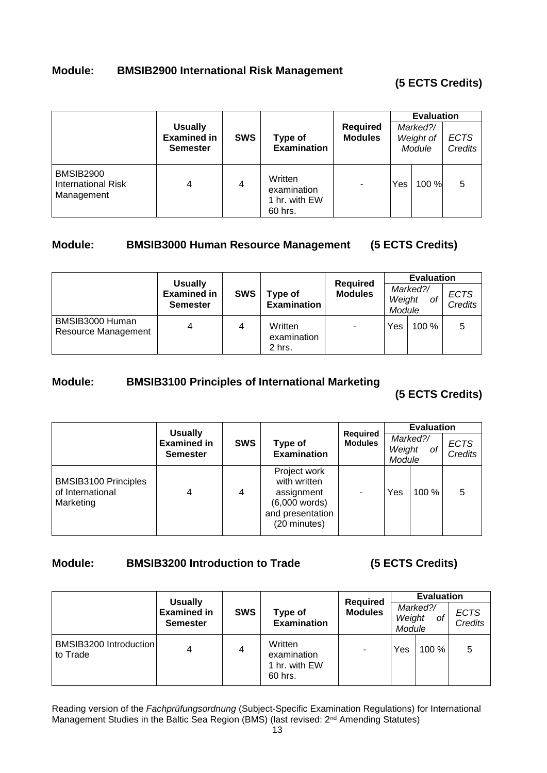# **Module: BMSIB2900 International Risk Management**

# **(5 ECTS Credits)**

|                                                      | <b>Usually</b><br><b>Examined in</b><br><b>Semester</b> | <b>SWS</b> | Type of<br><b>Examination</b>                      | <b>Required</b><br><b>Modules</b> |     | <b>Evaluation</b><br>Marked?/<br>Weight of<br>Module | <b>ECTS</b><br><b>Credits</b> |
|------------------------------------------------------|---------------------------------------------------------|------------|----------------------------------------------------|-----------------------------------|-----|------------------------------------------------------|-------------------------------|
| BMSIB2900<br><b>International Risk</b><br>Management | 4                                                       | 4          | Written<br>examination<br>1 hr. with EW<br>60 hrs. |                                   | Yes | 100 %                                                | 5                             |

## **Module: BMSIB3000 Human Resource Management (5 ECTS Credits)**

|                                        |                                                         |            |                                  |                                   |                  | <b>Evaluation</b> |                        |  |
|----------------------------------------|---------------------------------------------------------|------------|----------------------------------|-----------------------------------|------------------|-------------------|------------------------|--|
|                                        | <b>Usually</b><br><b>Examined in</b><br><b>Semester</b> | <b>SWS</b> | Type of<br><b>Examination</b>    | <b>Required</b><br><b>Modules</b> | Weight<br>Module | Marked?/<br>оf    | <b>ECTS</b><br>Credits |  |
| BMSIB3000 Human<br>Resource Management |                                                         | 4          | Written<br>examination<br>2 hrs. | ۰                                 | Yes              | 100%              | 5                      |  |

# **Module: BMSIB3100 Principles of International Marketing**

**(5 ECTS Credits)** 

|                                                              | <b>Usually</b>                        |            |                                                                                                   |                                   |                  | <b>Evaluation</b> |                               |
|--------------------------------------------------------------|---------------------------------------|------------|---------------------------------------------------------------------------------------------------|-----------------------------------|------------------|-------------------|-------------------------------|
|                                                              | <b>Examined in</b><br><b>Semester</b> | <b>SWS</b> | Type of<br><b>Examination</b>                                                                     | <b>Required</b><br><b>Modules</b> | Weight<br>Module | Marked?/<br>of    | <b>ECTS</b><br><b>Credits</b> |
| <b>BMSIB3100 Principles</b><br>of International<br>Marketing | 4                                     | 4          | Project work<br>with written<br>assignment<br>$(6,000$ words)<br>and presentation<br>(20 minutes) |                                   | Yes              | $100\%$           | 5                             |

## **Module: BMSIB3200 Introduction to Trade (5 ECTS Credits)**

|                                    | <b>Usually</b>                        |            |                                                    | <b>Required</b> |                  | <b>Evaluation</b> |                               |
|------------------------------------|---------------------------------------|------------|----------------------------------------------------|-----------------|------------------|-------------------|-------------------------------|
|                                    | <b>Examined in</b><br><b>Semester</b> | <b>SWS</b> | Type of<br><b>Examination</b>                      | <b>Modules</b>  | Weight<br>Module | Marked?/<br>οf    | <b>ECTS</b><br><b>Credits</b> |
| BMSIB3200 Introduction<br>to Trade |                                       | 4          | Written<br>examination<br>1 hr. with EW<br>60 hrs. |                 | Yes              | $100 \%$          | 5                             |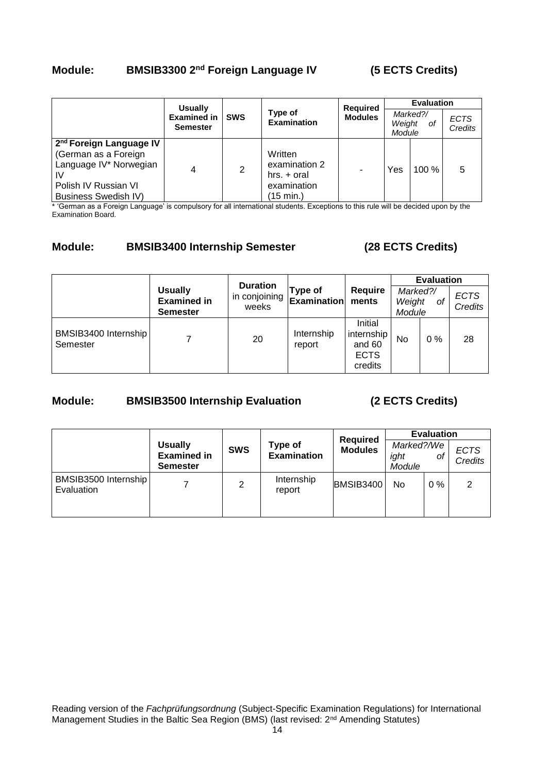# **Module: BMSIB3300 2nd Foreign Language IV (5 ECTS Credits)**

|                                                                                                                                                    | <b>Usually</b>                        |            | <b>Required</b>                                                       |                | <b>Evaluation</b>                  |          |                        |
|----------------------------------------------------------------------------------------------------------------------------------------------------|---------------------------------------|------------|-----------------------------------------------------------------------|----------------|------------------------------------|----------|------------------------|
|                                                                                                                                                    | <b>Examined in</b><br><b>Semester</b> | <b>SWS</b> | Type of<br><b>Examination</b>                                         | <b>Modules</b> | Marked?/<br>Weight<br>оf<br>Module |          | <b>ECTS</b><br>Credits |
| 2 <sup>nd</sup> Foreign Language IV<br>(German as a Foreign<br>Language IV* Norwegian<br>IV<br>Polish IV Russian VI<br><b>Business Swedish IV)</b> | 4                                     | 2          | Written<br>examination 2<br>$hrs. + oral$<br>examination<br>(15 min.) | -              | Yes                                | $100 \%$ | 5                      |

\* 'German as a Foreign Language' is compulsory for all international students. Exceptions to this rule will be decided upon by the Examination Board.

## **Module: BMSIB3400 Internship Semester (28 ECTS Credits)**

|                                  |                                                         | <b>Duration</b>        |                               |                                                           | <b>Evaluation</b>                  |       |                        |  |  |
|----------------------------------|---------------------------------------------------------|------------------------|-------------------------------|-----------------------------------------------------------|------------------------------------|-------|------------------------|--|--|
|                                  | <b>Usually</b><br><b>Examined in</b><br><b>Semester</b> | in conjoining<br>weeks | Type of<br><b>Examination</b> | <b>Require</b><br>ments                                   | Marked?/<br>Weight<br>0f<br>Module |       | <b>ECTS</b><br>Credits |  |  |
| BMSIB3400 Internship<br>Semester |                                                         | 20                     | Internship<br>report          | Initial<br>internship<br>and 60<br><b>ECTS</b><br>credits | No                                 | $0\%$ | 28                     |  |  |

# **Module: BMSIB3500 Internship Evaluation (2 ECTS Credits)**

|                                    |                                                         |            | <b>Required</b>               | <b>Evaluation</b> |                              |       |                        |
|------------------------------------|---------------------------------------------------------|------------|-------------------------------|-------------------|------------------------------|-------|------------------------|
|                                    | <b>Usually</b><br><b>Examined in</b><br><b>Semester</b> | <b>SWS</b> | Type of<br><b>Examination</b> | <b>Modules</b>    | Marked?/We<br>ight<br>Module | оf    | <b>ECTS</b><br>Credits |
| BMSIB3500 Internship<br>Evaluation |                                                         | 2          | Internship<br>report          | BMSIB3400         | No                           | $0\%$ | 2                      |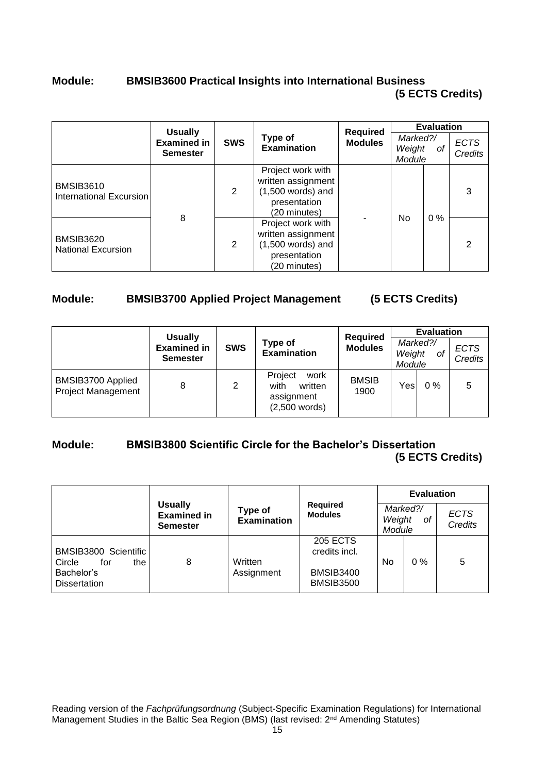# **Module: BMSIB3600 Practical Insights into International Business (5 ECTS Credits)**

|                                               | <b>Usually</b>                 |            |                                                                                                | <b>Required</b> |                                    | <b>Evaluation</b> |                               |
|-----------------------------------------------|--------------------------------|------------|------------------------------------------------------------------------------------------------|-----------------|------------------------------------|-------------------|-------------------------------|
|                                               | Examined in<br><b>Semester</b> | <b>SWS</b> | Type of<br><b>Examination</b>                                                                  | <b>Modules</b>  | Marked?/<br>Weight<br>0f<br>Module |                   | <b>ECTS</b><br><b>Credits</b> |
| <b>BMSIB3610</b><br>International Excursion   |                                | 2          | Project work with<br>written assignment<br>$(1,500$ words) and<br>presentation<br>(20 minutes) |                 | No                                 |                   | 3                             |
| <b>BMSIB3620</b><br><b>National Excursion</b> | 8                              | 2          | Project work with<br>written assignment<br>$(1,500$ words) and<br>presentation<br>(20 minutes) |                 |                                    | $0\%$             | 2                             |

## **Module: BMSIB3700 Applied Project Management (5 ECTS Credits)**

|                                                |                                                         |            |                                                                     | <b>Required</b>      | <b>Evaluation</b> |                |                        |  |
|------------------------------------------------|---------------------------------------------------------|------------|---------------------------------------------------------------------|----------------------|-------------------|----------------|------------------------|--|
|                                                | <b>Usually</b><br><b>Examined in</b><br><b>Semester</b> | <b>SWS</b> | Type of<br><b>Examination</b>                                       | <b>Modules</b>       | Weight<br>Module  | Marked?/<br>оf | <b>ECTS</b><br>Credits |  |
| BMSIB3700 Applied<br><b>Project Management</b> | 8                                                       | 2          | Project<br>work<br>with<br>written<br>assignment<br>$(2,500$ words) | <b>BMSIB</b><br>1900 | Yes               | $0\%$          | 5                      |  |

## **Module: BMSIB3800 Scientific Circle for the Bachelor's Dissertation (5 ECTS Credits)**

|                                              |                                                         |                               |                                      |                  | <b>Evaluation</b> |                               |  |  |
|----------------------------------------------|---------------------------------------------------------|-------------------------------|--------------------------------------|------------------|-------------------|-------------------------------|--|--|
|                                              | <b>Usually</b><br><b>Examined in</b><br><b>Semester</b> | Type of<br><b>Examination</b> | <b>Required</b><br><b>Modules</b>    | Weight<br>Module | Marked?/<br>οf    | <b>ECTS</b><br><b>Credits</b> |  |  |
| BMSIB3800 Scientific<br>Circle<br>for<br>the | 8                                                       | Written                       | <b>205 ECTS</b><br>credits incl.     | No               | $0\%$             | 5                             |  |  |
| Bachelor's<br><b>Dissertation</b>            |                                                         | Assignment                    | <b>BMSIB3400</b><br><b>BMSIB3500</b> |                  |                   |                               |  |  |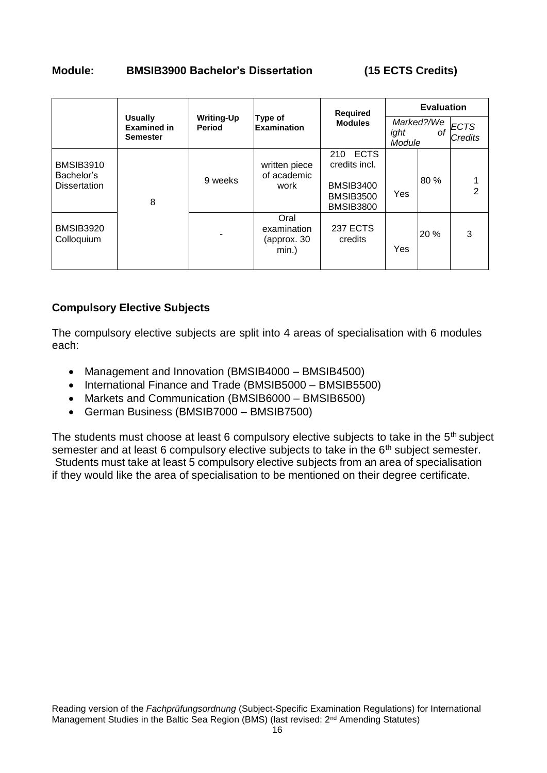# **Module: BMSIB3900 Bachelor's Dissertation (15 ECTS Credits)**

|                                                       |                                                         |                                                                     |                                                | <b>Required</b>                                                                                 |                | <b>Evaluation</b> |                        |
|-------------------------------------------------------|---------------------------------------------------------|---------------------------------------------------------------------|------------------------------------------------|-------------------------------------------------------------------------------------------------|----------------|-------------------|------------------------|
|                                                       | <b>Usually</b><br><b>Examined in</b><br><b>Semester</b> | <b>Writing-Up</b><br>Type of<br><b>Examination</b><br><b>Period</b> |                                                | <b>Modules</b>                                                                                  | ight<br>Module | Marked?/We<br>οf  | <b>ECTS</b><br>Credits |
| <b>BMSIB3910</b><br>Bachelor's<br><b>Dissertation</b> | 8                                                       | 9 weeks                                                             | written piece<br>of academic<br>work           | <b>ECTS</b><br>210<br>credits incl.<br><b>BMSIB3400</b><br><b>BMSIB3500</b><br><b>BMSIB3800</b> | <b>Yes</b>     | 80 %              | 2                      |
| <b>BMSIB3920</b><br>Colloquium                        |                                                         |                                                                     | Oral<br>examination<br>(approx. 30<br>$min.$ ) | <b>237 ECTS</b><br>credits                                                                      | Yes            | 20 %              | 3                      |

## **Compulsory Elective Subjects**

The compulsory elective subjects are split into 4 areas of specialisation with 6 modules each:

- Management and Innovation (BMSIB4000 BMSIB4500)
- International Finance and Trade (BMSIB5000 BMSIB5500)
- Markets and Communication (BMSIB6000 BMSIB6500)
- German Business (BMSIB7000 BMSIB7500)

The students must choose at least 6 compulsory elective subjects to take in the 5<sup>th</sup> subject semester and at least 6 compulsory elective subjects to take in the 6<sup>th</sup> subject semester. Students must take at least 5 compulsory elective subjects from an area of specialisation if they would like the area of specialisation to be mentioned on their degree certificate.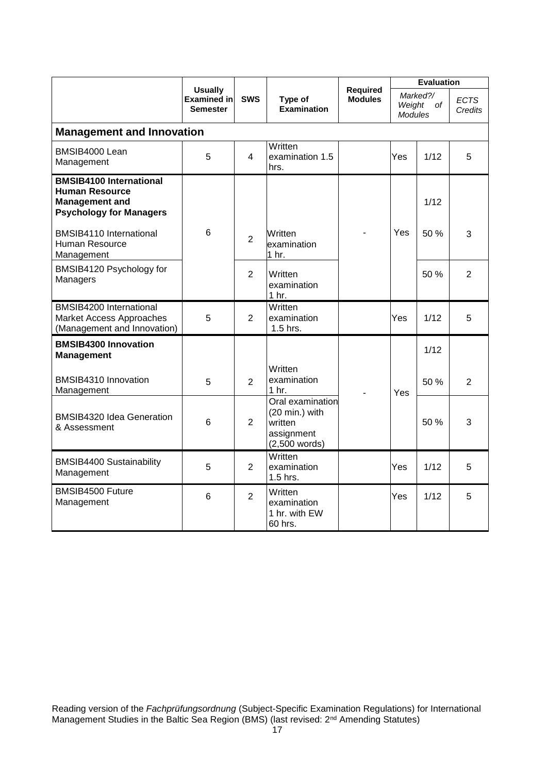|                                                                                                                    |                                                         |                |                                                                                |                                   | <b>Evaluation</b>                          |      |                        |  |  |
|--------------------------------------------------------------------------------------------------------------------|---------------------------------------------------------|----------------|--------------------------------------------------------------------------------|-----------------------------------|--------------------------------------------|------|------------------------|--|--|
|                                                                                                                    | <b>Usually</b><br><b>Examined in</b><br><b>Semester</b> | <b>SWS</b>     | Type of<br><b>Examination</b>                                                  | <b>Required</b><br><b>Modules</b> | Marked?/<br>of<br>Weight<br><b>Modules</b> |      | <b>ECTS</b><br>Credits |  |  |
| <b>Management and Innovation</b>                                                                                   |                                                         |                |                                                                                |                                   |                                            |      |                        |  |  |
| BMSIB4000 Lean<br>Management                                                                                       | 5                                                       | 4              | Written<br>examination 1.5<br>hrs.                                             |                                   | Yes                                        | 1/12 | 5                      |  |  |
| <b>BMSIB4100 International</b><br><b>Human Resource</b><br><b>Management and</b><br><b>Psychology for Managers</b> |                                                         |                |                                                                                |                                   |                                            | 1/12 |                        |  |  |
| BMSIB4110 International<br>Human Resource<br>Management                                                            | 6                                                       | $\overline{2}$ | Written<br>examination<br>1 <sub>hr.</sub>                                     |                                   | Yes                                        | 50 % | 3                      |  |  |
| BMSIB4120 Psychology for<br>Managers                                                                               |                                                         | $\overline{2}$ | Written<br>examination<br>1 <sub>hr.</sub>                                     |                                   |                                            | 50 % | $\overline{2}$         |  |  |
| <b>BMSIB4200 International</b><br>Market Access Approaches<br>(Management and Innovation)                          | 5                                                       | $\overline{2}$ | Written<br>examination<br>1.5 hrs.                                             |                                   | Yes                                        | 1/12 | 5                      |  |  |
| <b>BMSIB4300 Innovation</b><br><b>Management</b>                                                                   |                                                         |                |                                                                                |                                   |                                            | 1/12 |                        |  |  |
| BMSIB4310 Innovation<br>Management                                                                                 | 5                                                       | $\overline{2}$ | Written<br>examination<br>1 <sub>hr.</sub>                                     |                                   | Yes                                        | 50%  | $\overline{2}$         |  |  |
| <b>BMSIB4320 Idea Generation</b><br>& Assessment                                                                   | 6                                                       | $\overline{2}$ | Oral examination<br>(20 min.) with<br>written<br>assignment<br>$(2,500$ words) |                                   |                                            | 50 % | 3                      |  |  |
| <b>BMSIB4400 Sustainability</b><br>Management                                                                      | 5                                                       | $\overline{2}$ | Written<br>examination<br>1.5 hrs.                                             |                                   | Yes                                        | 1/12 | 5                      |  |  |
| BMSIB4500 Future<br>Management                                                                                     | 6                                                       | $\overline{2}$ | Written<br>examination<br>1 hr. with EW<br>60 hrs.                             |                                   | Yes                                        | 1/12 | 5                      |  |  |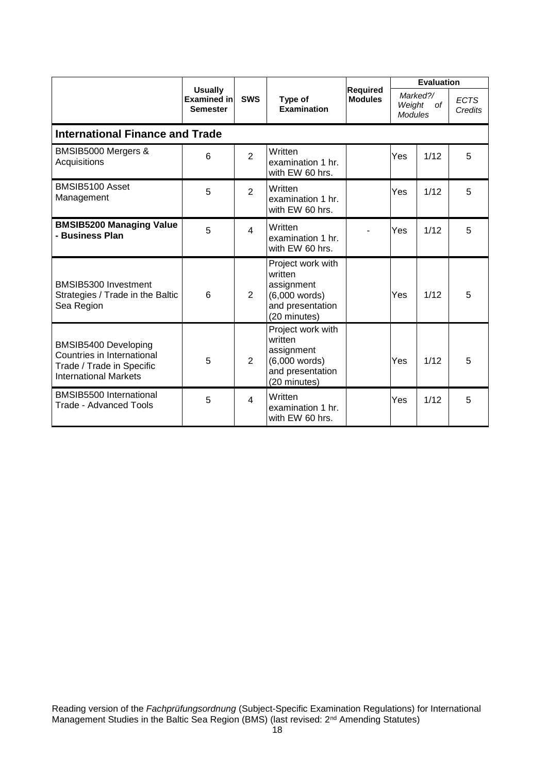|                                                                                                                 |                                                         |                |                                                                                                   |                                   |                                            | <b>Evaluation</b> |                        |
|-----------------------------------------------------------------------------------------------------------------|---------------------------------------------------------|----------------|---------------------------------------------------------------------------------------------------|-----------------------------------|--------------------------------------------|-------------------|------------------------|
|                                                                                                                 | <b>Usually</b><br><b>Examined in</b><br><b>Semester</b> | <b>SWS</b>     | Type of<br><b>Examination</b>                                                                     | <b>Required</b><br><b>Modules</b> | Marked?/<br>of<br>Weight<br><b>Modules</b> |                   | <b>ECTS</b><br>Credits |
| <b>International Finance and Trade</b>                                                                          |                                                         |                |                                                                                                   |                                   |                                            |                   |                        |
| BMSIB5000 Mergers &<br>Acquisitions                                                                             | 6                                                       | $\overline{2}$ | Written<br>examination 1 hr.<br>with EW 60 hrs.                                                   |                                   | Yes                                        | 1/12              | 5                      |
| BMSIB5100 Asset<br>Management                                                                                   | 5                                                       | $\overline{2}$ | Written<br>examination 1 hr.<br>with EW 60 hrs.                                                   |                                   | Yes                                        | 1/12              | 5                      |
| <b>BMSIB5200 Managing Value</b><br>- Business Plan                                                              | 5                                                       | $\overline{4}$ | Written<br>examination 1 hr.<br>with EW 60 hrs.                                                   |                                   | Yes                                        | 1/12              | 5                      |
| BMSIB5300 Investment<br>Strategies / Trade in the Baltic<br>Sea Region                                          | 6                                                       | 2              | Project work with<br>written<br>assignment<br>$(6,000$ words)<br>and presentation<br>(20 minutes) |                                   | Yes                                        | 1/12              | 5                      |
| BMSIB5400 Developing<br>Countries in International<br>Trade / Trade in Specific<br><b>International Markets</b> | 5                                                       | 2              | Project work with<br>written<br>assignment<br>$(6,000$ words)<br>and presentation<br>(20 minutes) |                                   | Yes                                        | 1/12              | 5                      |
| <b>BMSIB5500 International</b><br>Trade - Advanced Tools                                                        | 5                                                       | $\overline{4}$ | Written<br>examination 1 hr.<br>with EW 60 hrs.                                                   |                                   | Yes                                        | 1/12              | 5                      |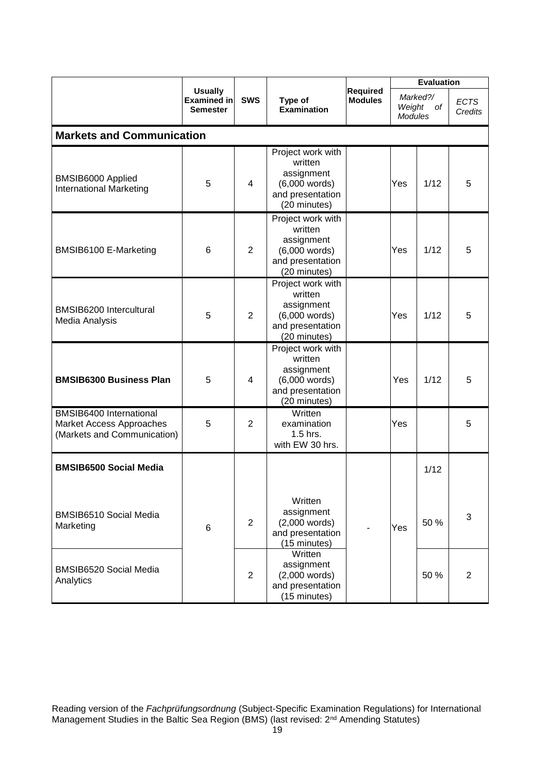|                                                                                    |                                                         |                |                                                                                                   |                                   | <b>Evaluation</b>                          |      |                        |  |  |  |
|------------------------------------------------------------------------------------|---------------------------------------------------------|----------------|---------------------------------------------------------------------------------------------------|-----------------------------------|--------------------------------------------|------|------------------------|--|--|--|
|                                                                                    | <b>Usually</b><br><b>Examined in</b><br><b>Semester</b> | <b>SWS</b>     | Type of<br><b>Examination</b>                                                                     | <b>Required</b><br><b>Modules</b> | Marked?/<br>Weight<br>of<br><b>Modules</b> |      | <b>ECTS</b><br>Credits |  |  |  |
|                                                                                    | <b>Markets and Communication</b>                        |                |                                                                                                   |                                   |                                            |      |                        |  |  |  |
| BMSIB6000 Applied<br><b>International Marketing</b>                                | 5                                                       | 4              | Project work with<br>written<br>assignment<br>$(6,000$ words)<br>and presentation<br>(20 minutes) |                                   | Yes                                        | 1/12 | 5                      |  |  |  |
| BMSIB6100 E-Marketing                                                              | 6                                                       | $\overline{2}$ | Project work with<br>written<br>assignment<br>$(6,000$ words)<br>and presentation<br>(20 minutes) |                                   | Yes                                        | 1/12 | 5                      |  |  |  |
| BMSIB6200 Intercultural<br>Media Analysis                                          | 5                                                       | $\overline{2}$ | Project work with<br>written<br>assignment<br>$(6,000$ words)<br>and presentation<br>(20 minutes) |                                   | Yes                                        | 1/12 | 5                      |  |  |  |
| <b>BMSIB6300 Business Plan</b>                                                     | 5                                                       | 4              | Project work with<br>written<br>assignment<br>$(6,000$ words)<br>and presentation<br>(20 minutes) |                                   | Yes                                        | 1/12 | 5                      |  |  |  |
| BMSIB6400 International<br>Market Access Approaches<br>(Markets and Communication) | 5                                                       | $\overline{2}$ | Written<br>examination<br>1.5 hrs.<br>with EW 30 hrs.                                             |                                   | Yes                                        |      | 5                      |  |  |  |
| <b>BMSIB6500 Social Media</b>                                                      |                                                         |                |                                                                                                   |                                   |                                            | 1/12 |                        |  |  |  |
| <b>BMSIB6510 Social Media</b><br>Marketing                                         | $6\phantom{1}$                                          | $\overline{2}$ | Written<br>assignment<br>$(2,000$ words)<br>and presentation<br>(15 minutes)                      |                                   | Yes                                        | 50 % | 3                      |  |  |  |
| <b>BMSIB6520 Social Media</b><br>Analytics                                         |                                                         | $\overline{2}$ | Written<br>assignment<br>$(2,000$ words)<br>and presentation<br>(15 minutes)                      |                                   |                                            | 50 % | 2                      |  |  |  |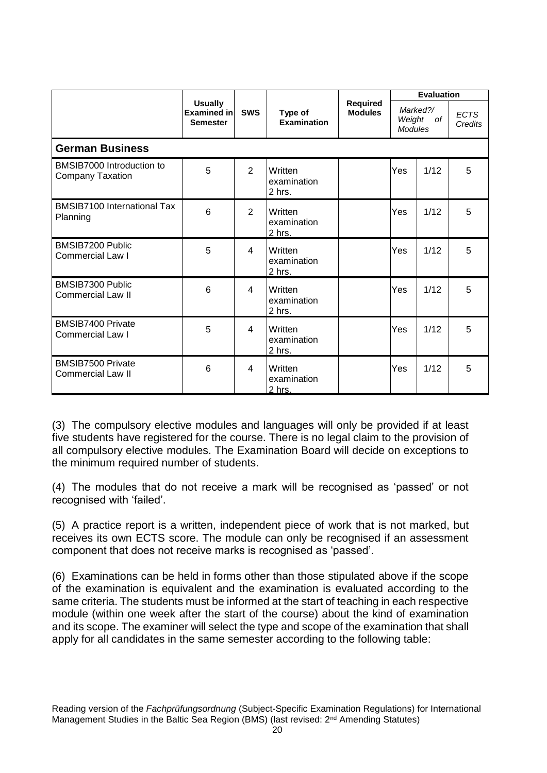|                                                      |                                                  |                |                                    |                                   |                                            | <b>Evaluation</b> |                        |
|------------------------------------------------------|--------------------------------------------------|----------------|------------------------------------|-----------------------------------|--------------------------------------------|-------------------|------------------------|
|                                                      | <b>Usually</b><br>Examined in<br><b>Semester</b> | <b>SWS</b>     | Type of<br><b>Examination</b>      | <b>Required</b><br><b>Modules</b> | Marked?/<br>Weight<br>of<br><b>Modules</b> |                   | <b>ECTS</b><br>Credits |
| <b>German Business</b>                               |                                                  |                |                                    |                                   |                                            |                   |                        |
| BMSIB7000 Introduction to<br><b>Company Taxation</b> | 5                                                | 2              | Written<br>examination<br>2 hrs.   |                                   | Yes                                        | 1/12              | 5                      |
| <b>BMSIB7100 International Tax</b><br>Planning       | 6                                                | $\overline{2}$ | Written<br>examination<br>2 hrs.   |                                   | Yes                                        | 1/12              | 5                      |
| <b>BMSIB7200 Public</b><br>Commercial Law I          | 5                                                | 4              | Written<br>examination<br>2 hrs.   |                                   | Yes                                        | 1/12              | 5                      |
| BMSIB7300 Public<br><b>Commercial Law II</b>         | 6                                                | 4              | Written<br>examination<br>$2$ hrs. |                                   | Yes                                        | 1/12              | 5                      |
| <b>BMSIB7400 Private</b><br><b>Commercial Law I</b>  | 5                                                | 4              | Written<br>examination<br>2 hrs.   |                                   | Yes                                        | 1/12              | 5                      |
| <b>BMSIB7500 Private</b><br><b>Commercial Law II</b> | 6                                                | 4              | Written<br>examination<br>2 hrs.   |                                   | Yes                                        | 1/12              | 5                      |

(3) The compulsory elective modules and languages will only be provided if at least five students have registered for the course. There is no legal claim to the provision of all compulsory elective modules. The Examination Board will decide on exceptions to the minimum required number of students.

(4) The modules that do not receive a mark will be recognised as 'passed' or not recognised with 'failed'.

(5) A practice report is a written, independent piece of work that is not marked, but receives its own ECTS score. The module can only be recognised if an assessment component that does not receive marks is recognised as 'passed'.

(6) Examinations can be held in forms other than those stipulated above if the scope of the examination is equivalent and the examination is evaluated according to the same criteria. The students must be informed at the start of teaching in each respective module (within one week after the start of the course) about the kind of examination and its scope. The examiner will select the type and scope of the examination that shall apply for all candidates in the same semester according to the following table: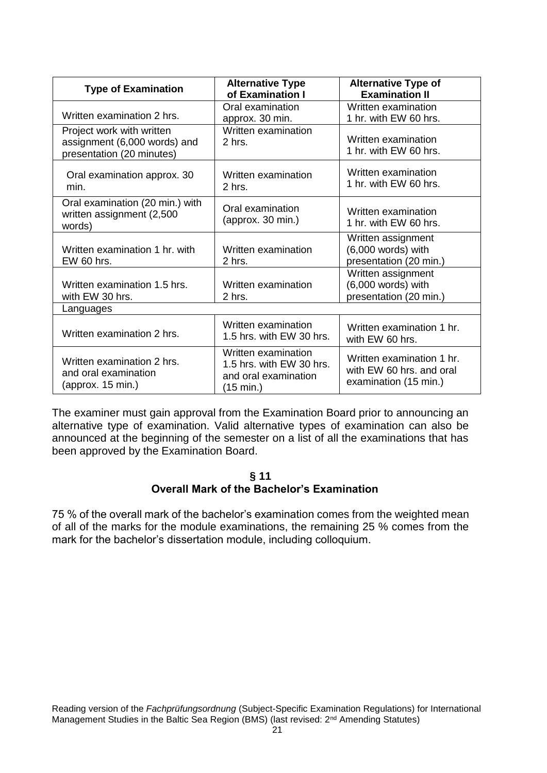| <b>Type of Examination</b>                                                             | <b>Alternative Type</b><br>of Examination I                                          | <b>Alternative Type of</b><br><b>Examination II</b>                            |
|----------------------------------------------------------------------------------------|--------------------------------------------------------------------------------------|--------------------------------------------------------------------------------|
| Written examination 2 hrs.                                                             | Oral examination<br>approx. 30 min.                                                  | Written examination<br>1 hr. with EW 60 hrs.                                   |
| Project work with written<br>assignment (6,000 words) and<br>presentation (20 minutes) | Written examination<br>2 hrs.                                                        | Written examination<br>1 hr. with EW 60 hrs.                                   |
| Oral examination approx. 30<br>min.                                                    | Written examination<br>$2$ hrs.                                                      | Written examination<br>1 hr. with EW 60 hrs.                                   |
| Oral examination (20 min.) with<br>written assignment (2,500<br>words)                 | Oral examination<br>(approx. 30 min.)                                                | Written examination<br>1 hr. with EW 60 hrs.                                   |
| Written examination 1 hr. with<br>EW 60 hrs.                                           | Written examination<br>2 hrs.                                                        | Written assignment<br>$(6,000$ words) with<br>presentation (20 min.)           |
| Written examination 1.5 hrs.<br>with EW 30 hrs.                                        | Written examination<br>2 hrs.                                                        | Written assignment<br>(6,000 words) with<br>presentation (20 min.)             |
| Languages                                                                              |                                                                                      |                                                                                |
| Written examination 2 hrs.                                                             | Written examination<br>1.5 hrs. with EW 30 hrs.                                      | Written examination 1 hr.<br>with EW 60 hrs.                                   |
| Written examination 2 hrs.<br>and oral examination<br>(approx. 15 min.)                | Written examination<br>1.5 hrs. with EW 30 hrs.<br>and oral examination<br>(15 min.) | Written examination 1 hr.<br>with EW 60 hrs. and oral<br>examination (15 min.) |

The examiner must gain approval from the Examination Board prior to announcing an alternative type of examination. Valid alternative types of examination can also be announced at the beginning of the semester on a list of all the examinations that has been approved by the Examination Board.

## **§ 11 Overall Mark of the Bachelor's Examination**

<span id="page-20-0"></span>75 % of the overall mark of the bachelor's examination comes from the weighted mean of all of the marks for the module examinations, the remaining 25 % comes from the mark for the bachelor's dissertation module, including colloquium.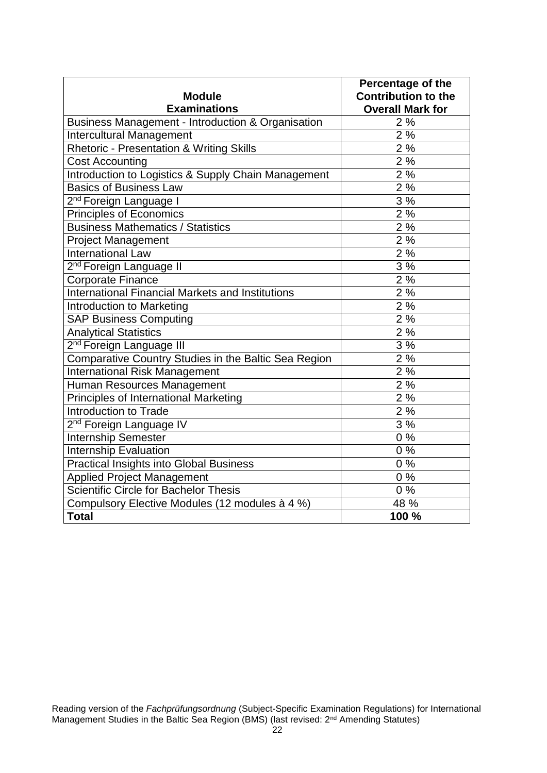| <b>Module</b>                                           | Percentage of the<br><b>Contribution to the</b> |
|---------------------------------------------------------|-------------------------------------------------|
| <b>Examinations</b>                                     | <b>Overall Mark for</b>                         |
| Business Management - Introduction & Organisation       | 2%                                              |
| <b>Intercultural Management</b>                         | 2%                                              |
| Rhetoric - Presentation & Writing Skills                | 2%                                              |
| <b>Cost Accounting</b>                                  | 2%                                              |
| Introduction to Logistics & Supply Chain Management     | 2%                                              |
| <b>Basics of Business Law</b>                           | 2%                                              |
| 2 <sup>nd</sup> Foreign Language I                      | 3%                                              |
| <b>Principles of Economics</b>                          | 2%                                              |
| <b>Business Mathematics / Statistics</b>                | 2%                                              |
| <b>Project Management</b>                               | 2%                                              |
| <b>International Law</b>                                | 2%                                              |
| 2 <sup>nd</sup> Foreign Language II                     | 3%                                              |
| <b>Corporate Finance</b>                                | 2%                                              |
| <b>International Financial Markets and Institutions</b> | 2%                                              |
| <b>Introduction to Marketing</b>                        | 2%                                              |
| <b>SAP Business Computing</b>                           | 2%                                              |
| <b>Analytical Statistics</b>                            | 2%                                              |
| 2 <sup>nd</sup> Foreign Language III                    | 3 %                                             |
| Comparative Country Studies in the Baltic Sea Region    | 2%                                              |
| <b>International Risk Management</b>                    | 2%                                              |
| Human Resources Management                              | 2%                                              |
| Principles of International Marketing                   | 2%                                              |
| <b>Introduction to Trade</b>                            | 2%                                              |
| 2 <sup>nd</sup> Foreign Language IV                     | 3%                                              |
| <b>Internship Semester</b>                              | 0%                                              |
| <b>Internship Evaluation</b>                            | 0%                                              |
| <b>Practical Insights into Global Business</b>          | $0\%$                                           |
| <b>Applied Project Management</b>                       | 0%                                              |
| Scientific Circle for Bachelor Thesis                   | 0%                                              |
| Compulsory Elective Modules (12 modules à 4 %)          | 48 %                                            |
| <b>Total</b>                                            | 100 %                                           |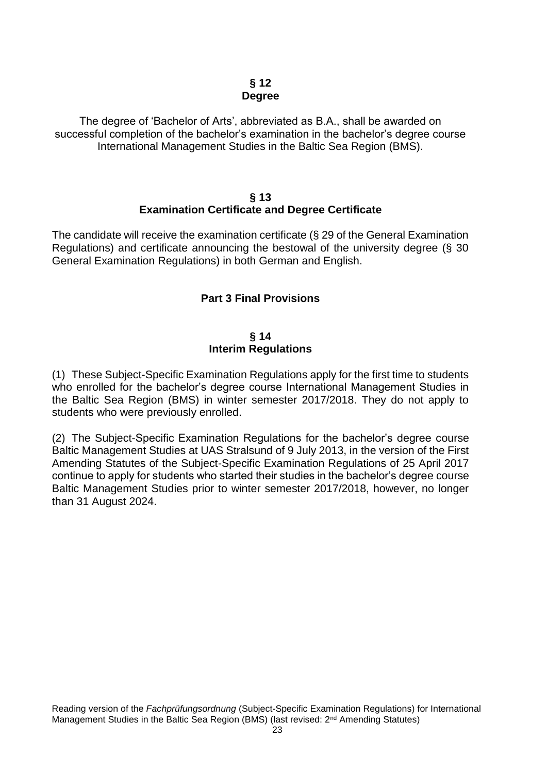## **§ 12 Degree**

<span id="page-22-0"></span>The degree of 'Bachelor of Arts', abbreviated as B.A., shall be awarded on successful completion of the bachelor's examination in the bachelor's degree course International Management Studies in the Baltic Sea Region (BMS).

## **§ 13 Examination Certificate and Degree Certificate**

<span id="page-22-2"></span><span id="page-22-1"></span>The candidate will receive the examination certificate (§ 29 of the General Examination Regulations) and certificate announcing the bestowal of the university degree (§ 30 General Examination Regulations) in both German and English.

# **Part 3 Final Provisions**

## **§ 14 Interim Regulations**

<span id="page-22-3"></span>(1) These Subject-Specific Examination Regulations apply for the first time to students who enrolled for the bachelor's degree course International Management Studies in the Baltic Sea Region (BMS) in winter semester 2017/2018. They do not apply to students who were previously enrolled.

(2) The Subject-Specific Examination Regulations for the bachelor's degree course Baltic Management Studies at UAS Stralsund of 9 July 2013, in the version of the First Amending Statutes of the Subject-Specific Examination Regulations of 25 April 2017 continue to apply for students who started their studies in the bachelor's degree course Baltic Management Studies prior to winter semester 2017/2018, however, no longer than 31 August 2024.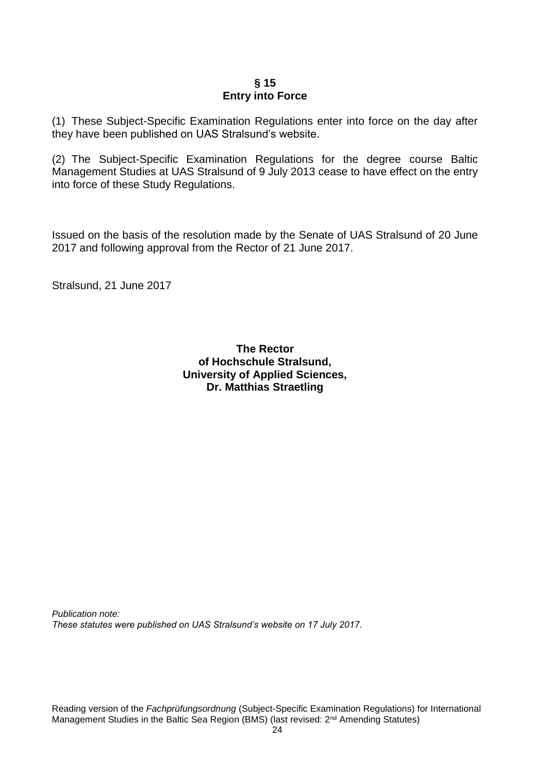## **§ 15 Entry into Force**

<span id="page-23-0"></span>(1) These Subject-Specific Examination Regulations enter into force on the day after they have been published on UAS Stralsund's website.

(2) The Subject-Specific Examination Regulations for the degree course Baltic Management Studies at UAS Stralsund of 9 July 2013 cease to have effect on the entry into force of these Study Regulations.

Issued on the basis of the resolution made by the Senate of UAS Stralsund of 20 June 2017 and following approval from the Rector of 21 June 2017.

Stralsund, 21 June 2017

## **The Rector of Hochschule Stralsund, University of Applied Sciences, Dr. Matthias Straetling**

<span id="page-23-1"></span>*Publication note: These statutes were published on UAS Stralsund's website on 17 July 2017.*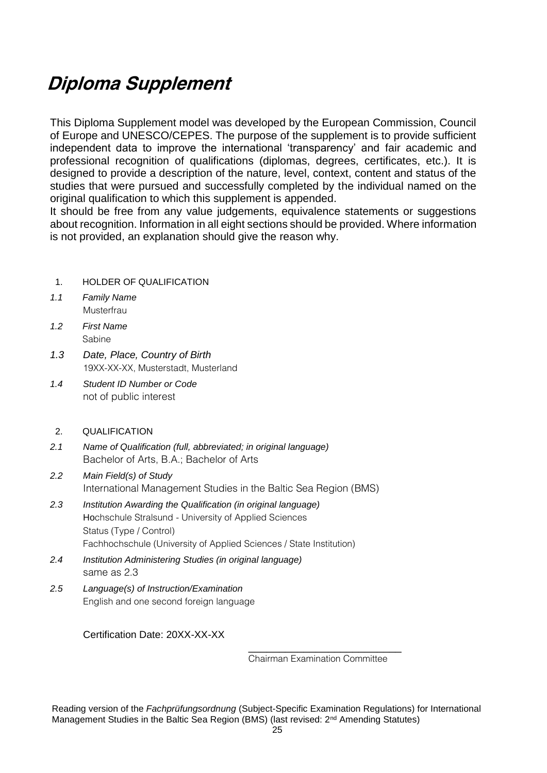# **Diploma Supplement**

This Diploma Supplement model was developed by the European Commission, Council of Europe and UNESCO/CEPES. The purpose of the supplement is to provide sufficient independent data to improve the international 'transparency' and fair academic and professional recognition of qualifications (diplomas, degrees, certificates, etc.). It is designed to provide a description of the nature, level, context, content and status of the studies that were pursued and successfully completed by the individual named on the original qualification to which this supplement is appended.

It should be free from any value judgements, equivalence statements or suggestions about recognition. Information in all eight sections should be provided. Where information is not provided, an explanation should give the reason why.

- 1. HOLDER OF QUALIFICATION
- *1.1 Family Name* Musterfrau
- *1.2 First Name* Sabine
- *1.3 Date, Place, Country of Birth* 19XX-XX-XX, Musterstadt, Musterland
- *1.4 Student ID Number or Code* not of public interest
- 2. QUALIFICATION
- *2.1 Name of Qualification (full, abbreviated; in original language)* Bachelor of Arts, B.A.; Bachelor of Arts
- *2.2 Main Field(s) of Study* International Management Studies in the Baltic Sea Region (BMS)
- *2.3 Institution Awarding the Qualification (in original language)* Hochschule Stralsund - University of Applied Sciences Status (Type / Control) Fachhochschule (University of Applied Sciences / State Institution)
- *2.4 Institution Administering Studies (in original language)* same as 2.3
- *2.5 Language(s) of Instruction/Examination* English and one second foreign language

## Certification Date: 20XX-XX-XX

\_\_\_\_\_\_\_\_\_\_\_\_\_\_\_\_\_\_\_\_\_\_\_\_\_ Chairman Examination Committee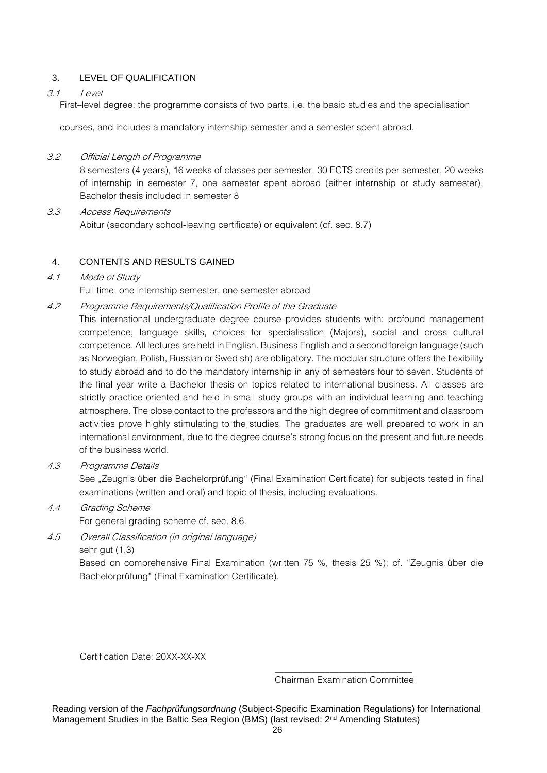## 3. LEVEL OF QUALIFICATION

## 3.1 Level

First–level degree: the programme consists of two parts, i.e. the basic studies and the specialisation

courses, and includes a mandatory internship semester and a semester spent abroad.

## 3.2 Official Length of Programme

8 semesters (4 years), 16 weeks of classes per semester, 30 ECTS credits per semester, 20 weeks of internship in semester 7, one semester spent abroad (either internship or study semester), Bachelor thesis included in semester 8

3.3 Access Requirements Abitur (secondary school-leaving certificate) or equivalent (cf. sec. 8.7)

## 4. CONTENTS AND RESULTS GAINED

## 4.1 Mode of Study

Full time, one internship semester, one semester abroad

4.2 Programme Requirements/Qualification Profile of the Graduate

This international undergraduate degree course provides students with: profound management competence, language skills, choices for specialisation (Majors), social and cross cultural competence. All lectures are held in English. Business English and a second foreign language (such as Norwegian, Polish, Russian or Swedish) are obligatory. The modular structure offers the flexibility to study abroad and to do the mandatory internship in any of semesters four to seven. Students of the final year write a Bachelor thesis on topics related to international business. All classes are strictly practice oriented and held in small study groups with an individual learning and teaching atmosphere. The close contact to the professors and the high degree of commitment and classroom activities prove highly stimulating to the studies. The graduates are well prepared to work in an international environment, due to the degree course's strong focus on the present and future needs of the business world.

4.3 Programme Details

See "Zeugnis über die Bachelorprüfung" (Final Examination Certificate) for subjects tested in final examinations (written and oral) and topic of thesis, including evaluations.

4.4 Grading Scheme

For general grading scheme cf. sec. 8.6.

4.5 Overall Classification (in original language) sehr gut (1,3)

> Based on comprehensive Final Examination (written 75 %, thesis 25 %); cf. "Zeugnis über die Bachelorprüfung" (Final Examination Certificate).

Certification Date: 20XX-XX-XX

\_\_\_\_\_\_\_\_\_\_\_\_\_\_\_\_\_\_\_\_\_\_\_\_\_\_\_\_\_\_ Chairman Examination Committee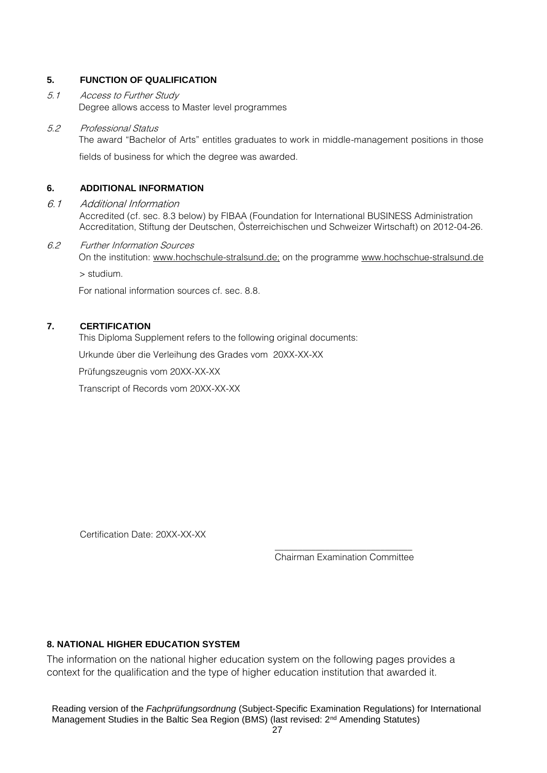## **5. FUNCTION OF QUALIFICATION**

5.1 Access to Further Study Degree allows access to Master level programmes

## 5.2 Professional Status

The award "Bachelor of Arts" entitles graduates to work in middle-management positions in those

fields of business for which the degree was awarded.

## **6. ADDITIONAL INFORMATION**

## 6.1 Additional Information

Accredited (cf. sec. 8.3 below) by FIBAA (Foundation for International BUSINESS Administration Accreditation, Stiftung der Deutschen, Österreichischen und Schweizer Wirtschaft) on 2012-04-26.

## 6.2 Further Information Sources

On the institution: www.hochschule-stralsund.de; on the programme www.hochschue-stralsund.de > studium.

For national information sources cf. sec. 8.8.

## **7. CERTIFICATION**

This Diploma Supplement refers to the following original documents:

Urkunde über die Verleihung des Grades vom 20XX-XX-XX

Prüfungszeugnis vom 20XX-XX-XX

Transcript of Records vom 20XX-XX-XX

Certification Date: 20XX-XX-XX

\_\_\_\_\_\_\_\_\_\_\_\_\_\_\_\_\_\_\_\_\_\_\_\_\_\_\_\_\_\_ Chairman Examination Committee

## **8. NATIONAL HIGHER EDUCATION SYSTEM**

The information on the national higher education system on the following pages provides a context for the qualification and the type of higher education institution that awarded it.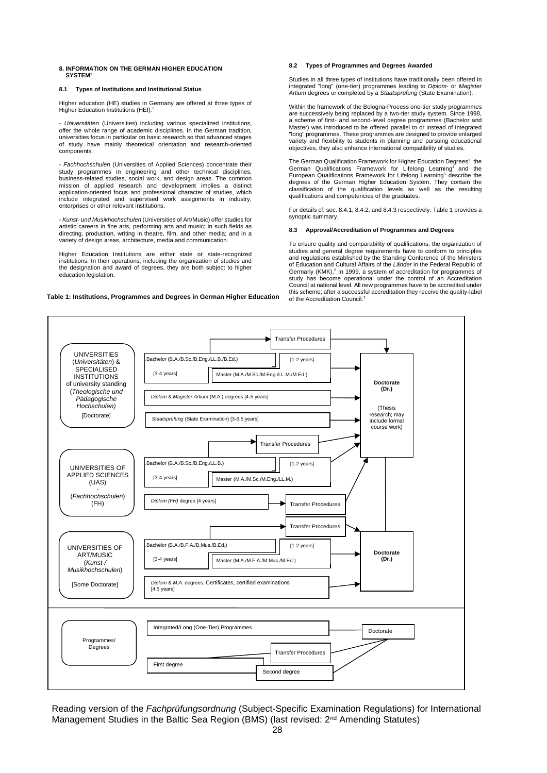## **8. INFORMATION ON THE GERMAN HIGHER EDUCATION SYSTEM<sup>1</sup>**

## **8.1 Types of Institutions and Institutional Status**

Higher education (HE) studies in Germany are offered at three types of Higher Education Institutions (HEI)*.* 2

*- Universitäten* (Universities) including various specialized institutions, offer the whole range of academic disciplines. In the German tradition, universities focus in particular on basic research so that advanced stages of study have mainly theoretical orientation and research-oriented components.

*- Fachhochschulen* (Universities of Applied Sciences) concentrate their study programmes in engineering and other technical disciplines, business-related studies, social work, and design areas. The common mission of applied research and development implies a distinct application-oriented focus and professional character of studies, which include integrated and supervised work assignments in industry, enterprises or other relevant institutions.

*- Kunst- und Musikhochschulen* (Universities of Art/Music) offer studies for artistic careers in fine arts, performing arts and music; in such fields as directing, production, writing in theatre, film, and other media; and in a variety of design areas, architecture, media and communication.

Higher Education Institutions are either state or state-recognized institutions. In their operations, including the organization of studies and the designation and award of degrees, they are both subject to higher education legislation.

## **Table 1: Institutions, Programmes and Degrees in German Higher Education**

## **8.2 Types of Programmes and Degrees Awarded**

Studies in all three types of institutions have traditionally been offered in integrated "long" (one-tier) programmes leading to *Diplom*- or *Magister Artium* degrees or completed by a *Staatsprüfung* (State Examination).

Within the framework of the Bologna-Process one-tier study programmes are successively being replaced by a two-tier study system. Since 1998, a scheme of first- and second-level degree programmes (Bachelor and Master) was introduced to be offered parallel to or instead of integrated "long" programmes. These programmes are designed to provide enlarged variety and flexibility to students in planning and pursuing educational objectives, they also enhance international compatibility of studies.

The German Qualification Framework for Higher Education Degrees<sup>3</sup>, the German Qualifications Framework for Lifelong Learning<sup>4</sup> and the European Qualifications Framework for Lifelong Learning<sup>5</sup> describe the degrees of the German Higher Education System. They contain the classification of the qualification levels as well as the resulting qualifications and competencies of the graduates.

For details cf. sec. 8.4.1, 8.4.2, and 8.4.3 respectively. Table 1 provides a synoptic summary.

## **8.3 Approval/Accreditation of Programmes and Degrees**

To ensure quality and comparability of qualifications, the organization of studies and general degree requirements have to conform to principles and regulations established by the Standing Conference of the Ministers of Education and Cultural Affairs of the *Länder* in the Federal Republic of Germany (KMK). 6 In 1999, a system of accreditation for programmes of study has become operational under the control of an Accreditation Council at national level. All new programmes have to be accredited under this scheme; after a successful accreditation they receive the quality-label of the Accreditation Council.<sup>7</sup>

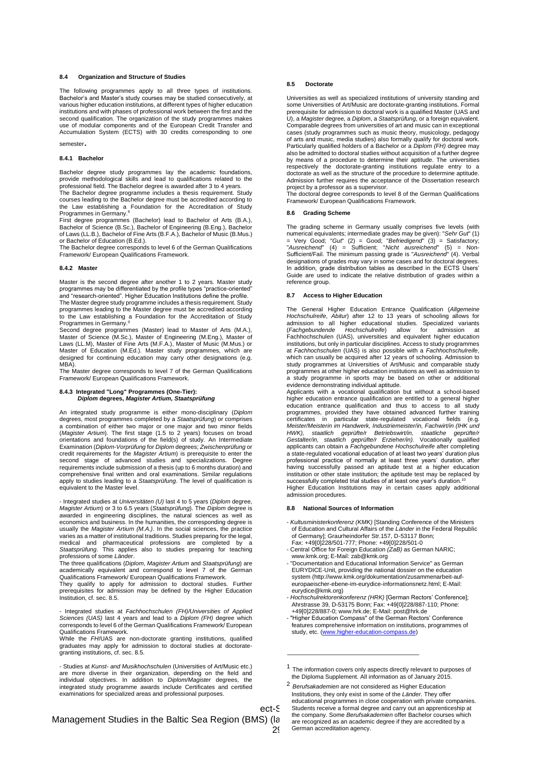## **8.4 Organization and Structure of Studies**

The following programmes apply to all three types of institutions. Bachelor's and Master's study courses may be studied consecutively, at various higher education institutions, at different types of higher education institutions and with phases of professional work between the first and the second qualification. The organization of the study programmes makes use of modular components and of the European Credit Transfer and Accumulation System (ECTS) with 30 credits corresponding to one semester.

## **8.4.1 Bachelor**

Bachelor degree study programmes lay the academic foundations, provide methodological skills and lead to qualifications related to the professional field. The Bachelor degree is awarded after 3 to 4 years.

The Bachelor degree programme includes a thesis requirement. Study courses leading to the Bachelor degree must be accredited according to the Law establishing a Foundation for the Accreditation of Study Programmes in Germany.<sup>8</sup>

First degree programmes (Bachelor) lead to Bachelor of Arts (B.A.), Bachelor of Science (B.Sc.), Bachelor of Engineering (B.Eng.), Bachelor of Laws (LL.B.), Bachelor of Fine Arts (B.F.A.), Bachelor of Music (B.Mus.) or Bachelor of Education (B.Ed.).

The Bachelor degree corresponds to level 6 of the German Qualifications Framework/ European Qualifications Framework.

## **8.4.2 Master**

Master is the second degree after another 1 to 2 years. Master study programmes may be differentiated by the profile types "practice-oriented" and "research-oriented". Higher Education Institutions define the profile.

The Master degree study programme includes a thesis requirement. Study programmes leading to the Master degree must be accredited according to the Law establishing a Foundation for the Accreditation of Study<br>Programmes in Germany.<sup>9</sup>

Second degree programmes (Master) lead to Master of Arts (M.A.), Master of Science (M.Sc.), Master of Engineering (M.Eng.), Master of Laws (LL.M), Master of Fine Arts (M.F.A.), Master of Music (M.Mus.) or Master of Education (M.Ed.). Master study programmes, which are designed for continuing education may carry other designations (e.g. MBA<sup>)</sup>

The Master degree corresponds to level 7 of the German Qualifications Framework/ European Qualifications Framework.

## **8.4.3 Integrated "Long" Programmes (One-Tier):** *Diplom* **degrees,** *Magister Artium, Staatsprüfung*

An integrated study programme is either mono-disciplinary (*Diplom* degrees, most programmes completed by a *Staatsprüfung*) or comprises a combination of either two major or one major and two minor fields (*Magister Artium*). The first stage (1.5 to 2 years) focuses on broad<br>orientations and foundations of the field(s) of study. An Intermediate<br>Examination (*Diplom-Vorprüfung* for *Diplom* degrees; Zwisc*henprüfung* or credit requirements for the *Magister Artium*) is prerequisite to enter the second stage of advanced studies and specializations. Degree requirements include submission of a thesis (up to 6 months duration) and comprehensive final written and oral examinations. Similar regulations apply to studies leading to a *Staatsprüfung*. The level of qualification is equivalent to the Master level.

- Integrated studies at *Universitäten (U)* last 4 to 5 years (*Diplom* degree, *Magister Artium*) or 3 to 6.5 years (*Staatsprüfung*). The *Diplom* degree is awarded in engineering disciplines, the natural sciences as well as economics and business. In the humanities, the corresponding degree is usually the *Magister Artium (M.A.)*. In the social sciences, the practice varies as a matter of institutional traditions. Studies preparing for the legal, medical and pharmaceutical professions are completed by a *Staatsprüfung*. This applies also to studies preparing for teaching professions of some *Länder*.

The three qualifications (*Diplom*, *Magister Artium* and *Staatsprüfung*) are academically equivalent and correspond to level 7 of the German Qualifications Framework/ European Qualifications Framework.

They qualify to apply for admission to doctoral studies. Further prerequisites for admission may be defined by the Higher Education Institution, cf. sec. 8.5.

- Integrated studies at *Fachhochschulen (FH)/Universities of Applied Sciences (UAS)* last 4 years and lead to a *Diplom (FH)* degree which corresponds to level 6 of the German Qualifications Framework/ European Qualifications Framework.

While the *FH*/UAS are non-doctorate granting institutions, qualified graduates may apply for admission to doctoral studies at doctorate-granting institutions, cf. sec. 8.5.

- Studies at *Kunst- and Musikhochschulen* (Universities of Art/Music etc.) are more diverse in their organization, depending on the field and individual objectives. In addition to *Diplom/Magister* degrees, integrated study programme awards include Certificates and certified examinations for specialized areas and professional purposes.

## **8.5 Doctorate**

Universities as well as specialized institutions of university standing and some Universities of Art/Music are doctorate-granting institutions. Formal prerequisite for admission to doctoral work is a qualified Master (UAS and U), a *Magister* degree*,* a *Diplom*, a *Staatsprüfung*, or a foreign equivalent. Comparable degrees from universities of art and music can in exceptional cases (study programmes such as music theory, musicology, pedagogy of arts and music, media studies) also formally qualify for doctoral work. Particularly qualified holders of a Bachelor or a *Diplom (FH)* degree may also be admitted to doctoral studies without acquisition of a further degree by means of a procedure to determine their aptitude. The universities respectively the doctorate-granting institutions regulate entry to a doctorate as well as the structure of the procedure to determine aptitude. Admission further requires the acceptance of the Dissertation research

project by a professor as a supervisor. The doctoral degree corresponds to level 8 of the German Qualifications Framework/ European Qualifications Framework.

## **8.6 Grading Scheme**

The grading scheme in Germany usually comprises five levels (with numerical equivalents; intermediate grades may be given): "*Sehr Gut*" (1)<br>= Very Good; "G*ut"* (2) = Good; "*Befriedigend*" (3) = Satisfactory;<br>"*Ausreichend*" (4) = Sufficient; "*Nicht ausreichend*" (5) designations of grades may vary in some cases and for doctoral degrees. In addition, grade distribution tables as described in the ECTS Users' Guide are used to indicate the relative distribution of grades within a reference group.

## **8.7 Access to Higher Education**

The General Higher Education Entrance Qualification (*Allgemeine Hochschulreife*, *Abitur*) after 12 to 13 years of schooling allows for admission to all higher educational studies. Specialized variants (*Fachgebundende Hochschulreife*) allow for admission at Fachhochschulen (UAS), universities and equivalent higher education institutions, but only in particular disciplines. Access to study programmes at *Fachhochschulen* (UAS) is also possible with a *Fachhochschulreife*, which can usually be acquired after 12 years of schooling. Admission to study programmes at Universities of Art/Music and comparable study programmes at other higher education institutions as well as admission to a study programme in sports may be based on other or additional evidence demonstrating individual aptitude.

Applicants with a vocational qualification but without a school-based higher education entrance qualification are entitled to a general higher<br>education entrance qualification and thus to access to all study education entrance qualification and thus to access to all study<br>programmes, provided they have obtained advanced further training<br>certificates in particular state-regulated vocational fields (e.g.<br>*Meister/Meisterin im Ha* a state-regulated vocational education of at least two years' duration plus professional practice of normally at least three years' duration, after having successfully passed an aptitude test at a higher education institution or other state institution; the aptitude test may be replaced by successfully completed trial studies of at least one year's duration.<sup>10</sup> Higher Education Institutions may in certain cases apply additional admission procedures.

## **8.8 National Sources of Information**

- *Kultusministerkonferenz (KMK)* [Standing Conference of the Ministers of Education and Cultural Affairs of the *Länder* in the Federal Republic of Germany]; Graurheindorfer Str.157, D-53117 Bonn;
- Fax: +49[0]228/501-777; Phone: +49[0]228/501-0 Central Office for Foreign Education *(ZaB)* as German NARIC; www.kmk.org; E-Mail: zab@kmk.org
- "Documentation and Educational Information Service" as German EURYDICE-Unit, providing the national dossier on the education system (http://www.kmk.org/dokumentation/zusammenarbeit-auf europaeischer-ebene-im-eurydice-informationsnetz.html; E-Mail: eurydice@kmk.org)
- *Hochschulrektorenkonferenz (HRK)* [German Rectors' Conference]; Ahrstrasse 39, D-53175 Bonn; Fax: +49[0]228/887-110; Phone: +49[0]228/887-0; www.hrk.de; E-Mail: post@hrk.de
- "Higher Education Compass" of the German Rectors' Conference features comprehensive information on institutions, programmes of<br>study, etc. [\(www.higher-education-compass.de\)](http://www.higher-education-compass.de/)

Management Studies in the Baltic Sea Region (BMS) (la

<sup>&</sup>lt;sup>1</sup> The information covers only aspects directly relevant to purposes of the Diploma Supplement. All information as of January 2015.

**ect-S** Students receive a formal degree and carry out an apprenticeship at <sup>2</sup> *Berufsakademien* are not considered as Higher Education Institutions, they only exist in some of the *Länder*. They offer educational programmes in close cooperation with private companies. the company. Some *Berufsakademien* offer Bachelor courses which are recognized as an academic degree if they are accredited by a German accreditation agency.